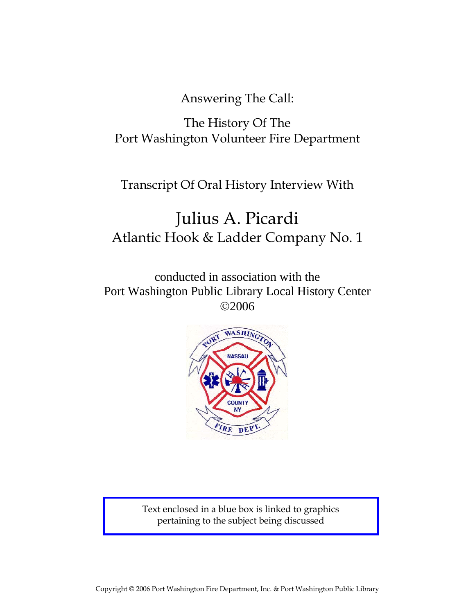Answering The Call:

# The History Of The Port Washington Volunteer Fire Department

## Transcript Of Oral History Interview With

# Julius A. Picardi Atlantic Hook & Ladder Company No. 1

conducted in association with the Port Washington Public Library Local History Center ©2006



Text enclosed in a blue box is linked to graphics pertaining to the subject being discussed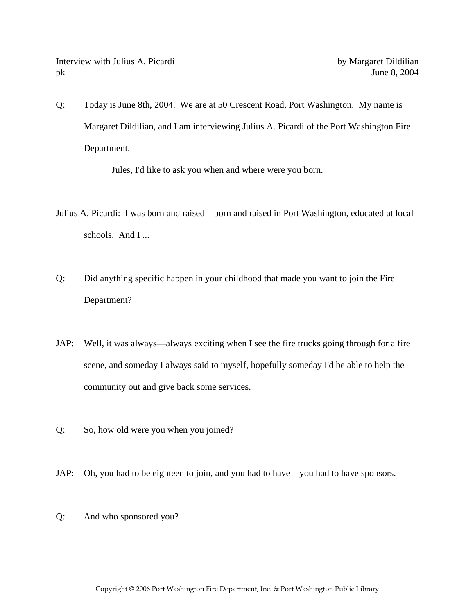Interview with Julius A. Picardi by Margaret Dildilian pk June 8, 2004

Q: Today is June 8th, 2004. We are at 50 Crescent Road, Port Washington. My name is Margaret Dildilian, and I am interviewing Julius A. Picardi of the Port Washington Fire Department.

Jules, I'd like to ask you when and where were you born.

- Julius A. Picardi: I was born and raised—born and raised in Port Washington, educated at local schools. And I ...
- Q: Did anything specific happen in your childhood that made you want to join the Fire Department?
- JAP: Well, it was always—always exciting when I see the fire trucks going through for a fire scene, and someday I always said to myself, hopefully someday I'd be able to help the community out and give back some services.
- Q: So, how old were you when you joined?
- JAP: Oh, you had to be eighteen to join, and you had to have—you had to have sponsors.
- Q: And who sponsored you?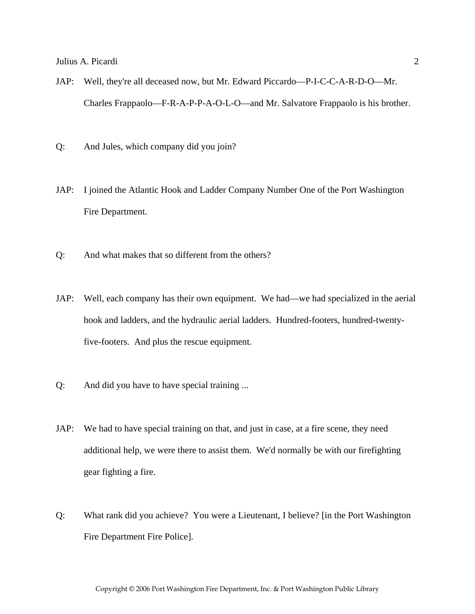- JAP: Well, they're all deceased now, but Mr. Edward Piccardo—P-I-C-C-A-R-D-O—Mr. Charles Frappaolo—F-R-A-P-P-A-O-L-O—and Mr. Salvatore Frappaolo is his brother.
- Q: And Jules, which company did you join?
- JAP: I joined the Atlantic Hook and Ladder Company Number One of the Port Washington Fire Department.
- Q: And what makes that so different from the others?
- JAP: Well, each company has their own equipment. We had—we had specialized in the aerial hook and ladders, and the hydraulic aerial ladders. Hundred-footers, hundred-twentyfive-footers. And plus the rescue equipment.
- Q: And did you have to have special training ...
- JAP: We had to have special training on that, and just in case, at a fire scene, they need additional help, we were there to assist them. We'd normally be with our firefighting gear fighting a fire.
- Q: What rank did you achieve? You were a Lieutenant, I believe? [in the Port Washington Fire Department Fire Police].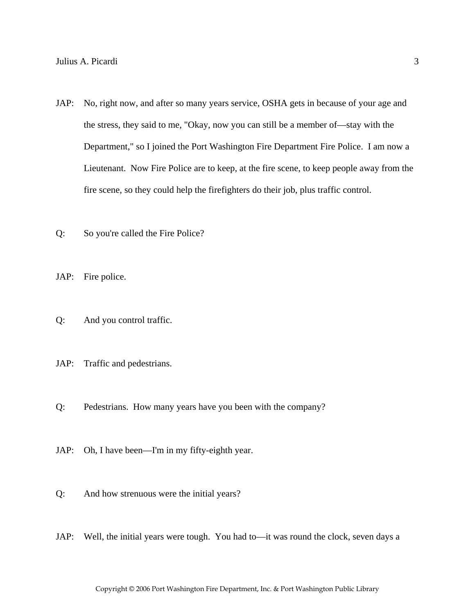- JAP: No, right now, and after so many years service, OSHA gets in because of your age and the stress, they said to me, "Okay, now you can still be a member of—stay with the Department," so I joined the Port Washington Fire Department Fire Police. I am now a Lieutenant. Now Fire Police are to keep, at the fire scene, to keep people away from the fire scene, so they could help the firefighters do their job, plus traffic control.
- Q: So you're called the Fire Police?

JAP: Fire police.

- Q: And you control traffic.
- JAP: Traffic and pedestrians.
- Q: Pedestrians. How many years have you been with the company?
- JAP: Oh, I have been—I'm in my fifty-eighth year.
- Q: And how strenuous were the initial years?
- JAP: Well, the initial years were tough. You had to—it was round the clock, seven days a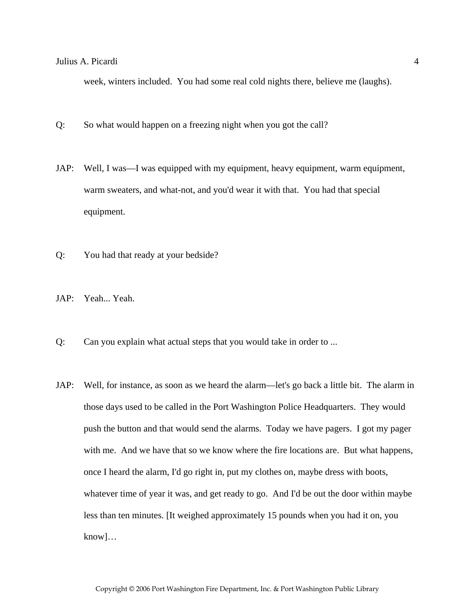week, winters included. You had some real cold nights there, believe me (laughs).

- Q: So what would happen on a freezing night when you got the call?
- JAP: Well, I was—I was equipped with my equipment, heavy equipment, warm equipment, warm sweaters, and what-not, and you'd wear it with that. You had that special equipment.
- Q: You had that ready at your bedside?
- JAP: Yeah... Yeah.
- Q: Can you explain what actual steps that you would take in order to ...
- JAP: Well, for instance, as soon as we heard the alarm—let's go back a little bit. The alarm in those days used to be called in the Port Washington Police Headquarters. They would push the button and that would send the alarms. Today we have pagers. I got my pager with me. And we have that so we know where the fire locations are. But what happens, once I heard the alarm, I'd go right in, put my clothes on, maybe dress with boots, whatever time of year it was, and get ready to go. And I'd be out the door within maybe less than ten minutes. [It weighed approximately 15 pounds when you had it on, you know]…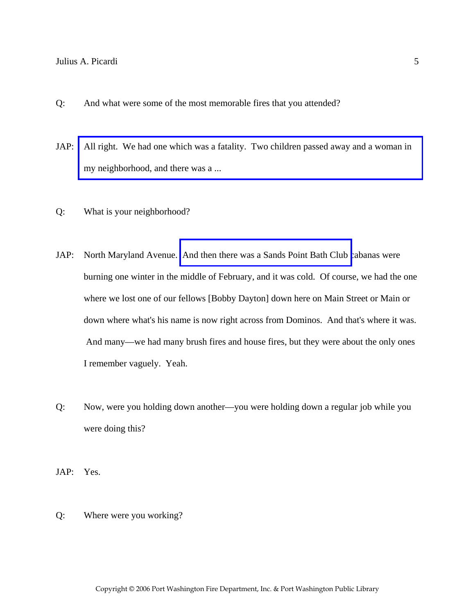- Q: And what were some of the most memorable fires that you attended?
- JAP: [All right. We had one which was a fatality. Two children passed away and a woman in](http://www.pwfdhistory.com/trans/picardij_trans/pwfd_news041a.pdf)  my neighborhood, and there was a ...
- Q: What is your neighborhood?
- JAP: North Maryland Avenue. [And then there was a Sands Point Bath Club c](http://www.pwfdhistory.com/trans/picardij_trans/spbathclb_pz_web.pdf)abanas were burning one winter in the middle of February, and it was cold. Of course, we had the one where we lost one of our fellows [Bobby Dayton] down here on Main Street or Main or down where what's his name is now right across from Dominos. And that's where it was. And many—we had many brush fires and house fires, but they were about the only ones I remember vaguely. Yeah.
- Q: Now, were you holding down another—you were holding down a regular job while you were doing this?
- JAP: Yes.
- Q: Where were you working?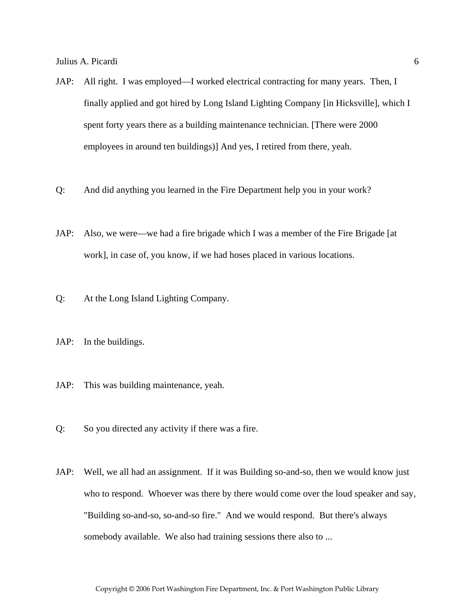- JAP: All right. I was employed—I worked electrical contracting for many years. Then, I finally applied and got hired by Long Island Lighting Company [in Hicksville], which I spent forty years there as a building maintenance technician. [There were 2000 employees in around ten buildings)] And yes, I retired from there, yeah.
- Q: And did anything you learned in the Fire Department help you in your work?
- JAP: Also, we were—we had a fire brigade which I was a member of the Fire Brigade [at work], in case of, you know, if we had hoses placed in various locations.
- Q: At the Long Island Lighting Company.
- JAP: In the buildings.
- JAP: This was building maintenance, yeah.
- Q: So you directed any activity if there was a fire.
- JAP: Well, we all had an assignment. If it was Building so-and-so, then we would know just who to respond. Whoever was there by there would come over the loud speaker and say, "Building so-and-so, so-and-so fire." And we would respond. But there's always somebody available. We also had training sessions there also to ...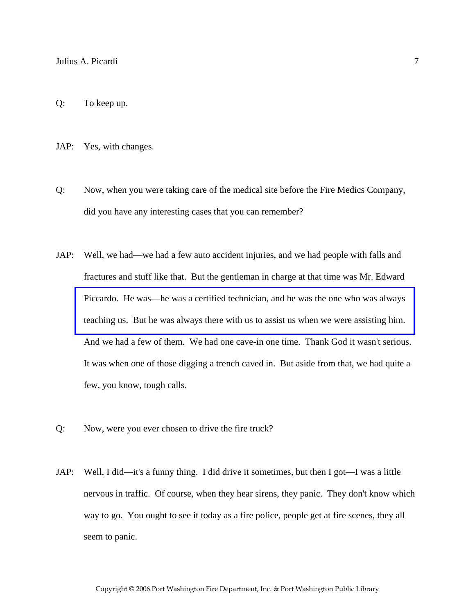Q: To keep up.

JAP: Yes, with changes.

- Q: Now, when you were taking care of the medical site before the Fire Medics Company, did you have any interesting cases that you can remember?
- JAP: Well, we had—we had a few auto accident injuries, and we had people with falls and fractures and stuff like that. But the gentleman in charge at that time was Mr. Edward Piccardo. He was—he was a certified technician, and he was the one who was always [teaching us. But he was always there with us to assist us when we were assisting him.](http://www.pwfdhistory.com/trans/picardij_trans/fmco_trng07_web.jpg)  And we had a few of them. We had one cave-in one time. Thank God it wasn't serious. It was when one of those digging a trench caved in. But aside from that, we had quite a few, you know, tough calls.
- Q: Now, were you ever chosen to drive the fire truck?
- JAP: Well, I did—it's a funny thing. I did drive it sometimes, but then I got—I was a little nervous in traffic. Of course, when they hear sirens, they panic. They don't know which way to go. You ought to see it today as a fire police, people get at fire scenes, they all seem to panic.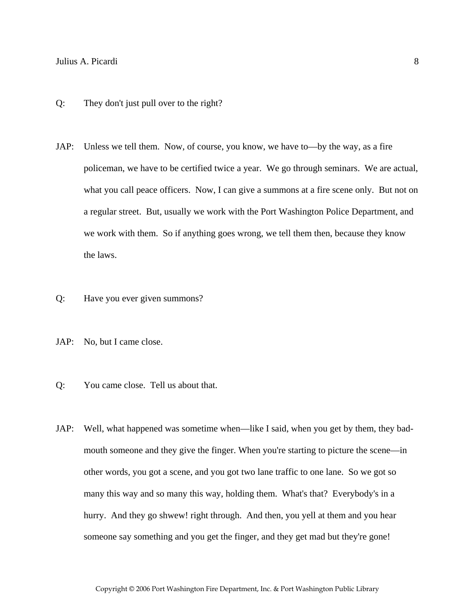- Q: They don't just pull over to the right?
- JAP: Unless we tell them. Now, of course, you know, we have to—by the way, as a fire policeman, we have to be certified twice a year. We go through seminars. We are actual, what you call peace officers. Now, I can give a summons at a fire scene only. But not on a regular street. But, usually we work with the Port Washington Police Department, and we work with them. So if anything goes wrong, we tell them then, because they know the laws.
- Q: Have you ever given summons?
- JAP: No, but I came close.
- Q: You came close. Tell us about that.
- JAP: Well, what happened was sometime when—like I said, when you get by them, they badmouth someone and they give the finger. When you're starting to picture the scene—in other words, you got a scene, and you got two lane traffic to one lane. So we got so many this way and so many this way, holding them. What's that? Everybody's in a hurry. And they go shwew! right through. And then, you yell at them and you hear someone say something and you get the finger, and they get mad but they're gone!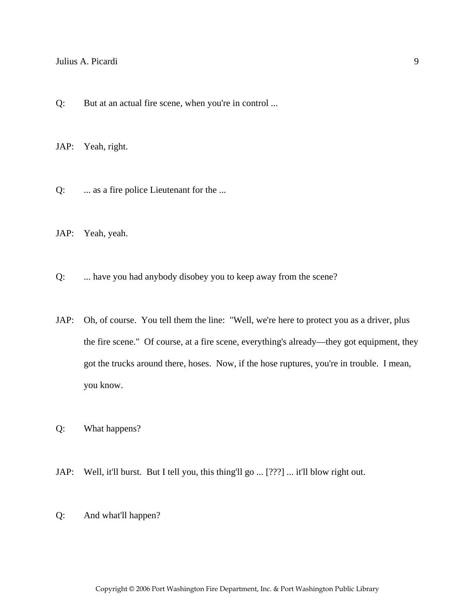Q: But at an actual fire scene, when you're in control ...

JAP: Yeah, right.

Q: ... as a fire police Lieutenant for the ...

JAP: Yeah, yeah.

Q: ... have you had anybody disobey you to keep away from the scene?

- JAP: Oh, of course. You tell them the line: "Well, we're here to protect you as a driver, plus the fire scene." Of course, at a fire scene, everything's already—they got equipment, they got the trucks around there, hoses. Now, if the hose ruptures, you're in trouble. I mean, you know.
- Q: What happens?
- JAP: Well, it'll burst. But I tell you, this thing'll go ... [???] ... it'll blow right out.
- Q: And what'll happen?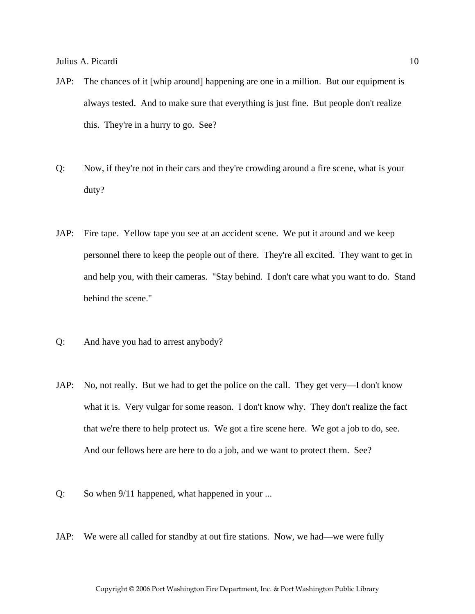- JAP: The chances of it [whip around] happening are one in a million. But our equipment is always tested. And to make sure that everything is just fine. But people don't realize this. They're in a hurry to go. See?
- Q: Now, if they're not in their cars and they're crowding around a fire scene, what is your duty?
- JAP: Fire tape. Yellow tape you see at an accident scene. We put it around and we keep personnel there to keep the people out of there. They're all excited. They want to get in and help you, with their cameras. "Stay behind. I don't care what you want to do. Stand behind the scene."
- Q: And have you had to arrest anybody?
- JAP: No, not really. But we had to get the police on the call. They get very—I don't know what it is. Very vulgar for some reason. I don't know why. They don't realize the fact that we're there to help protect us. We got a fire scene here. We got a job to do, see. And our fellows here are here to do a job, and we want to protect them. See?
- Q: So when 9/11 happened, what happened in your ...
- JAP: We were all called for standby at out fire stations. Now, we had—we were fully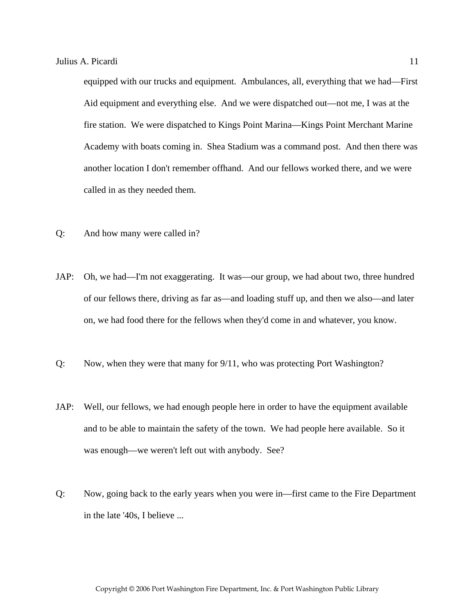equipped with our trucks and equipment. Ambulances, all, everything that we had—First Aid equipment and everything else. And we were dispatched out—not me, I was at the fire station. We were dispatched to Kings Point Marina—Kings Point Merchant Marine Academy with boats coming in. Shea Stadium was a command post. And then there was another location I don't remember offhand. And our fellows worked there, and we were called in as they needed them.

- Q: And how many were called in?
- JAP: Oh, we had—I'm not exaggerating. It was—our group, we had about two, three hundred of our fellows there, driving as far as—and loading stuff up, and then we also—and later on, we had food there for the fellows when they'd come in and whatever, you know.
- Q: Now, when they were that many for 9/11, who was protecting Port Washington?
- JAP: Well, our fellows, we had enough people here in order to have the equipment available and to be able to maintain the safety of the town. We had people here available. So it was enough—we weren't left out with anybody. See?
- Q: Now, going back to the early years when you were in—first came to the Fire Department in the late '40s, I believe ...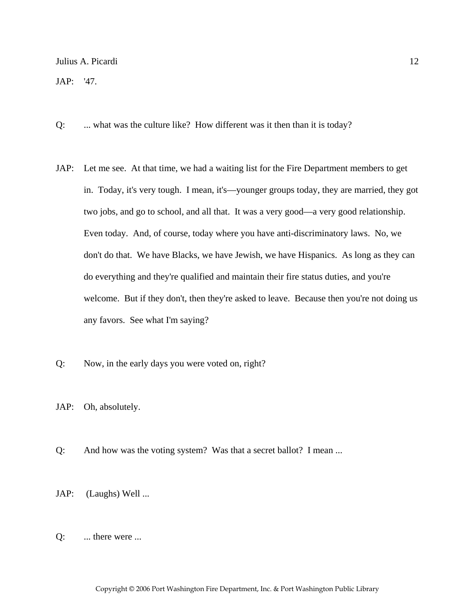JAP: '47.

- Q: ... what was the culture like? How different was it then than it is today?
- JAP: Let me see. At that time, we had a waiting list for the Fire Department members to get in. Today, it's very tough. I mean, it's—younger groups today, they are married, they got two jobs, and go to school, and all that. It was a very good—a very good relationship. Even today. And, of course, today where you have anti-discriminatory laws. No, we don't do that. We have Blacks, we have Jewish, we have Hispanics. As long as they can do everything and they're qualified and maintain their fire status duties, and you're welcome. But if they don't, then they're asked to leave. Because then you're not doing us any favors. See what I'm saying?
- Q: Now, in the early days you were voted on, right?
- JAP: Oh, absolutely.
- Q: And how was the voting system? Was that a secret ballot? I mean ...
- JAP: (Laughs) Well ...
- Q: ... there were ...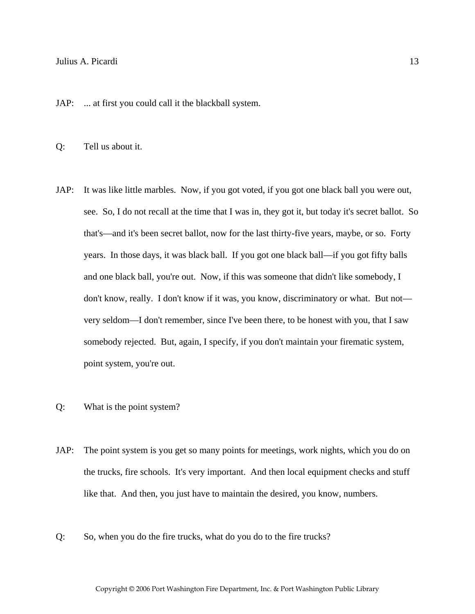JAP: ... at first you could call it the blackball system.

Q: Tell us about it.

- JAP: It was like little marbles. Now, if you got voted, if you got one black ball you were out, see. So, I do not recall at the time that I was in, they got it, but today it's secret ballot. So that's—and it's been secret ballot, now for the last thirty-five years, maybe, or so. Forty years. In those days, it was black ball. If you got one black ball—if you got fifty balls and one black ball, you're out. Now, if this was someone that didn't like somebody, I don't know, really. I don't know if it was, you know, discriminatory or what. But not very seldom—I don't remember, since I've been there, to be honest with you, that I saw somebody rejected. But, again, I specify, if you don't maintain your firematic system, point system, you're out.
- Q: What is the point system?
- JAP: The point system is you get so many points for meetings, work nights, which you do on the trucks, fire schools. It's very important. And then local equipment checks and stuff like that. And then, you just have to maintain the desired, you know, numbers.
- Q: So, when you do the fire trucks, what do you do to the fire trucks?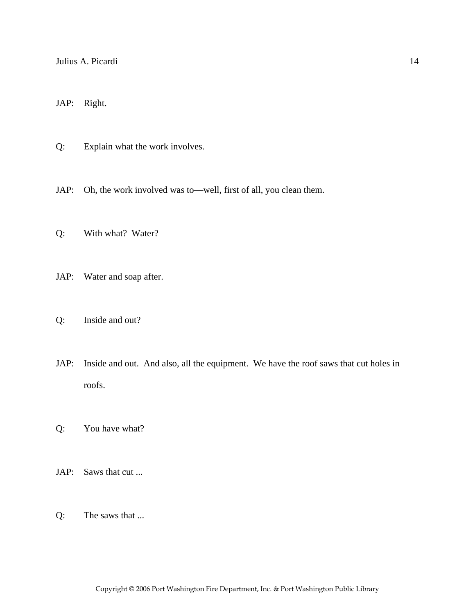JAP: Right.

- Q: Explain what the work involves.
- JAP: Oh, the work involved was to—well, first of all, you clean them.
- Q: With what? Water?
- JAP: Water and soap after.
- Q: Inside and out?
- JAP: Inside and out. And also, all the equipment. We have the roof saws that cut holes in roofs.
- Q: You have what?
- JAP: Saws that cut ...
- Q: The saws that ...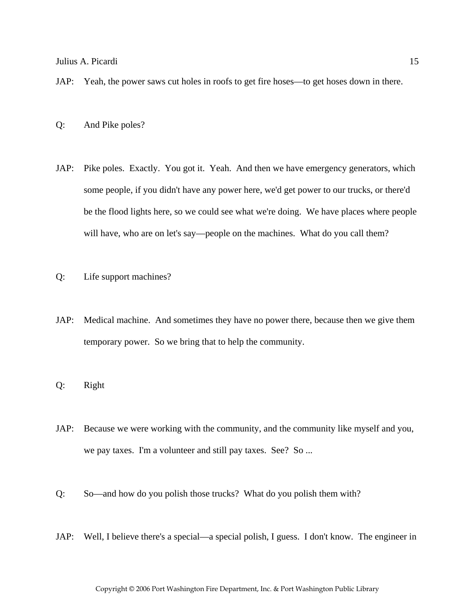- JAP: Yeah, the power saws cut holes in roofs to get fire hoses—to get hoses down in there.
- Q: And Pike poles?
- JAP: Pike poles. Exactly. You got it. Yeah. And then we have emergency generators, which some people, if you didn't have any power here, we'd get power to our trucks, or there'd be the flood lights here, so we could see what we're doing. We have places where people will have, who are on let's say—people on the machines. What do you call them?
- Q: Life support machines?
- JAP: Medical machine. And sometimes they have no power there, because then we give them temporary power. So we bring that to help the community.
- Q: Right
- JAP: Because we were working with the community, and the community like myself and you, we pay taxes. I'm a volunteer and still pay taxes. See? So ...
- Q: So—and how do you polish those trucks? What do you polish them with?
- JAP: Well, I believe there's a special—a special polish, I guess. I don't know. The engineer in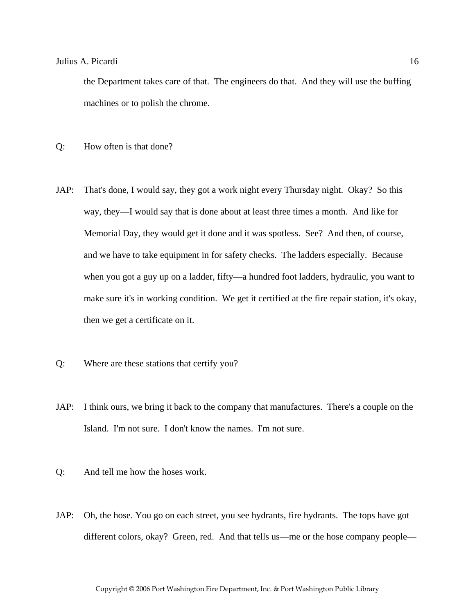the Department takes care of that. The engineers do that. And they will use the buffing machines or to polish the chrome.

- Q: How often is that done?
- JAP: That's done, I would say, they got a work night every Thursday night. Okay? So this way, they—I would say that is done about at least three times a month. And like for Memorial Day, they would get it done and it was spotless. See? And then, of course, and we have to take equipment in for safety checks. The ladders especially. Because when you got a guy up on a ladder, fifty—a hundred foot ladders, hydraulic, you want to make sure it's in working condition. We get it certified at the fire repair station, it's okay, then we get a certificate on it.
- Q: Where are these stations that certify you?
- JAP: I think ours, we bring it back to the company that manufactures. There's a couple on the Island. I'm not sure. I don't know the names. I'm not sure.
- Q: And tell me how the hoses work.
- JAP: Oh, the hose. You go on each street, you see hydrants, fire hydrants. The tops have got different colors, okay? Green, red. And that tells us—me or the hose company people—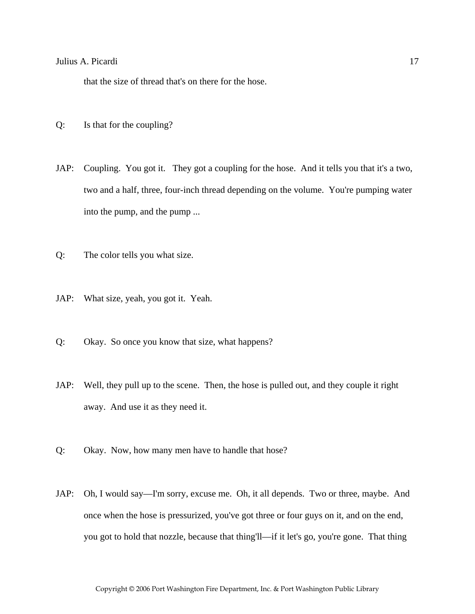that the size of thread that's on there for the hose.

- Q: Is that for the coupling?
- JAP: Coupling. You got it. They got a coupling for the hose. And it tells you that it's a two, two and a half, three, four-inch thread depending on the volume. You're pumping water into the pump, and the pump ...
- Q: The color tells you what size.
- JAP: What size, yeah, you got it. Yeah.
- Q: Okay. So once you know that size, what happens?
- JAP: Well, they pull up to the scene. Then, the hose is pulled out, and they couple it right away. And use it as they need it.
- Q: Okay. Now, how many men have to handle that hose?
- JAP: Oh, I would say—I'm sorry, excuse me. Oh, it all depends. Two or three, maybe. And once when the hose is pressurized, you've got three or four guys on it, and on the end, you got to hold that nozzle, because that thing'll—if it let's go, you're gone. That thing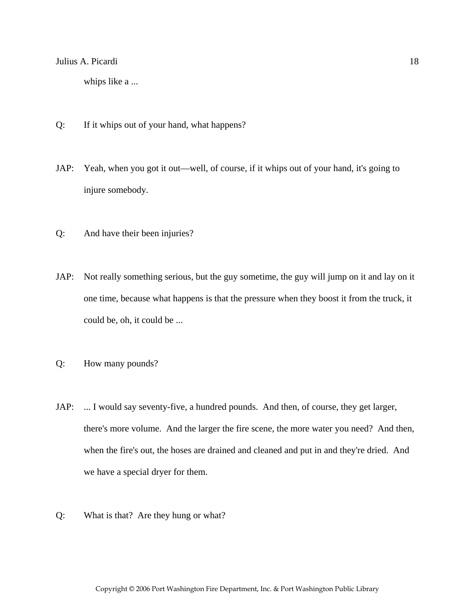whips like a ...

- Q: If it whips out of your hand, what happens?
- JAP: Yeah, when you got it out—well, of course, if it whips out of your hand, it's going to injure somebody.
- Q: And have their been injuries?
- JAP: Not really something serious, but the guy sometime, the guy will jump on it and lay on it one time, because what happens is that the pressure when they boost it from the truck, it could be, oh, it could be ...
- Q: How many pounds?
- JAP: ... I would say seventy-five, a hundred pounds. And then, of course, they get larger, there's more volume. And the larger the fire scene, the more water you need? And then, when the fire's out, the hoses are drained and cleaned and put in and they're dried. And we have a special dryer for them.
- Q: What is that? Are they hung or what?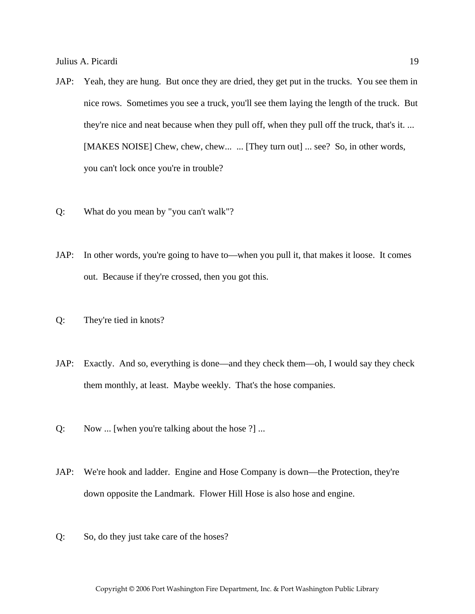- JAP: Yeah, they are hung. But once they are dried, they get put in the trucks. You see them in nice rows. Sometimes you see a truck, you'll see them laying the length of the truck. But they're nice and neat because when they pull off, when they pull off the truck, that's it. ... [MAKES NOISE] Chew, chew, chew... ... [They turn out] ... see? So, in other words, you can't lock once you're in trouble?
- Q: What do you mean by "you can't walk"?
- JAP: In other words, you're going to have to—when you pull it, that makes it loose. It comes out. Because if they're crossed, then you got this.
- Q: They're tied in knots?
- JAP: Exactly. And so, everything is done—and they check them—oh, I would say they check them monthly, at least. Maybe weekly. That's the hose companies.
- Q: Now ... [when you're talking about the hose ?] ...
- JAP: We're hook and ladder. Engine and Hose Company is down—the Protection, they're down opposite the Landmark. Flower Hill Hose is also hose and engine.
- Q: So, do they just take care of the hoses?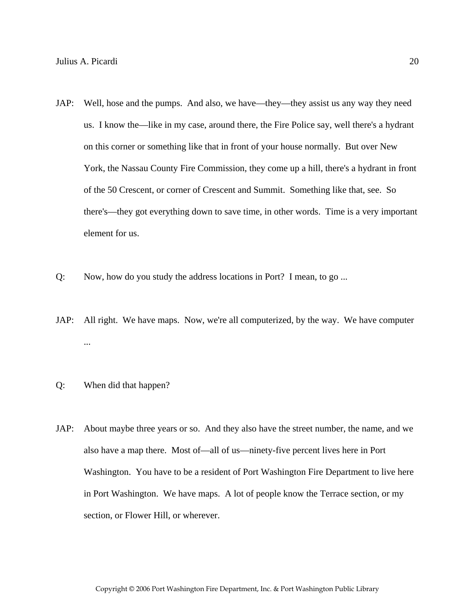- JAP: Well, hose and the pumps. And also, we have—they—they assist us any way they need us. I know the—like in my case, around there, the Fire Police say, well there's a hydrant on this corner or something like that in front of your house normally. But over New York, the Nassau County Fire Commission, they come up a hill, there's a hydrant in front of the 50 Crescent, or corner of Crescent and Summit. Something like that, see. So there's—they got everything down to save time, in other words. Time is a very important element for us.
- Q: Now, how do you study the address locations in Port? I mean, to go ...
- JAP: All right. We have maps. Now, we're all computerized, by the way. We have computer ...
- Q: When did that happen?
- JAP: About maybe three years or so. And they also have the street number, the name, and we also have a map there. Most of—all of us—ninety-five percent lives here in Port Washington. You have to be a resident of Port Washington Fire Department to live here in Port Washington. We have maps. A lot of people know the Terrace section, or my section, or Flower Hill, or wherever.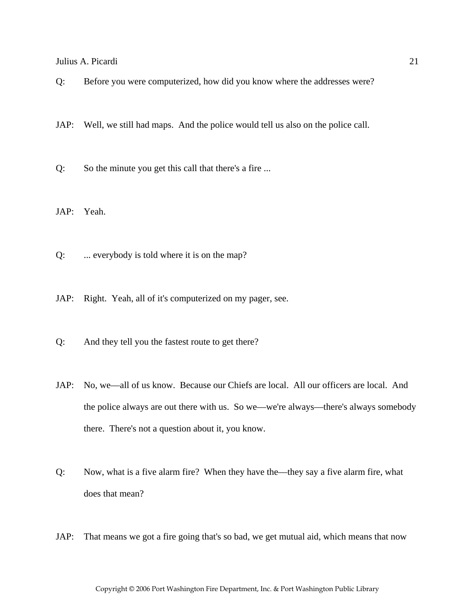Q: Before you were computerized, how did you know where the addresses were?

JAP: Well, we still had maps. And the police would tell us also on the police call.

Q: So the minute you get this call that there's a fire ...

JAP: Yeah.

Q: ... everybody is told where it is on the map?

JAP: Right. Yeah, all of it's computerized on my pager, see.

Q: And they tell you the fastest route to get there?

JAP: No, we—all of us know. Because our Chiefs are local. All our officers are local. And the police always are out there with us. So we—we're always—there's always somebody there. There's not a question about it, you know.

Q: Now, what is a five alarm fire? When they have the—they say a five alarm fire, what does that mean?

JAP: That means we got a fire going that's so bad, we get mutual aid, which means that now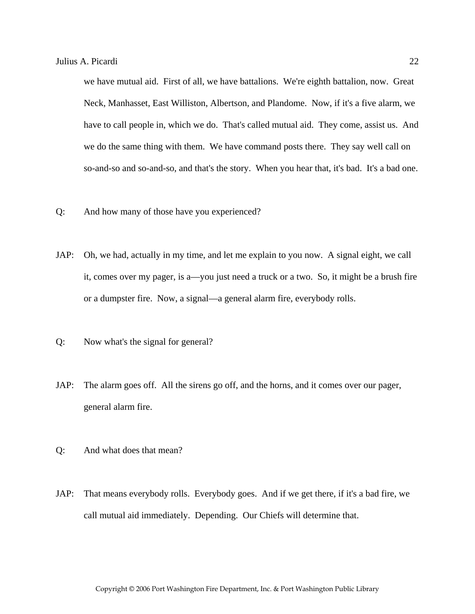we have mutual aid. First of all, we have battalions. We're eighth battalion, now. Great Neck, Manhasset, East Williston, Albertson, and Plandome. Now, if it's a five alarm, we have to call people in, which we do. That's called mutual aid. They come, assist us. And we do the same thing with them. We have command posts there. They say well call on so-and-so and so-and-so, and that's the story. When you hear that, it's bad. It's a bad one.

- Q: And how many of those have you experienced?
- JAP: Oh, we had, actually in my time, and let me explain to you now. A signal eight, we call it, comes over my pager, is a—you just need a truck or a two. So, it might be a brush fire or a dumpster fire. Now, a signal—a general alarm fire, everybody rolls.
- Q: Now what's the signal for general?
- JAP: The alarm goes off. All the sirens go off, and the horns, and it comes over our pager, general alarm fire.
- Q: And what does that mean?
- JAP: That means everybody rolls. Everybody goes. And if we get there, if it's a bad fire, we call mutual aid immediately. Depending. Our Chiefs will determine that.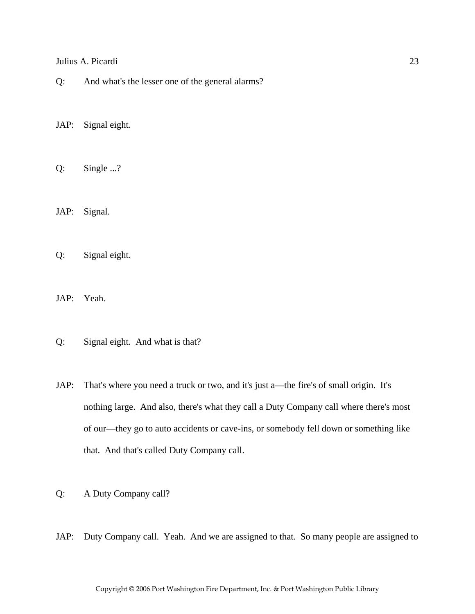Q: And what's the lesser one of the general alarms?

JAP: Signal eight.

Q: Single ...?

JAP: Signal.

Q: Signal eight.

JAP: Yeah.

- Q: Signal eight. And what is that?
- JAP: That's where you need a truck or two, and it's just a—the fire's of small origin. It's nothing large. And also, there's what they call a Duty Company call where there's most of our—they go to auto accidents or cave-ins, or somebody fell down or something like that. And that's called Duty Company call.
- Q: A Duty Company call?
- JAP: Duty Company call. Yeah. And we are assigned to that. So many people are assigned to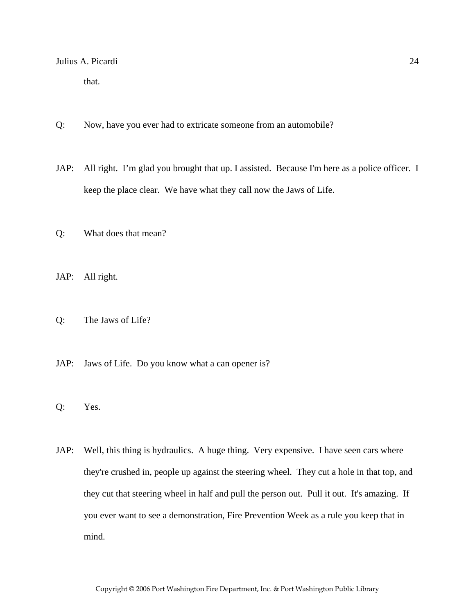that.

- Q: Now, have you ever had to extricate someone from an automobile?
- JAP: All right. I'm glad you brought that up. I assisted. Because I'm here as a police officer. I keep the place clear. We have what they call now the Jaws of Life.
- Q: What does that mean?
- JAP: All right.
- Q: The Jaws of Life?
- JAP: Jaws of Life. Do you know what a can opener is?
- Q: Yes.
- JAP: Well, this thing is hydraulics. A huge thing. Very expensive. I have seen cars where they're crushed in, people up against the steering wheel. They cut a hole in that top, and they cut that steering wheel in half and pull the person out. Pull it out. It's amazing. If you ever want to see a demonstration, Fire Prevention Week as a rule you keep that in mind.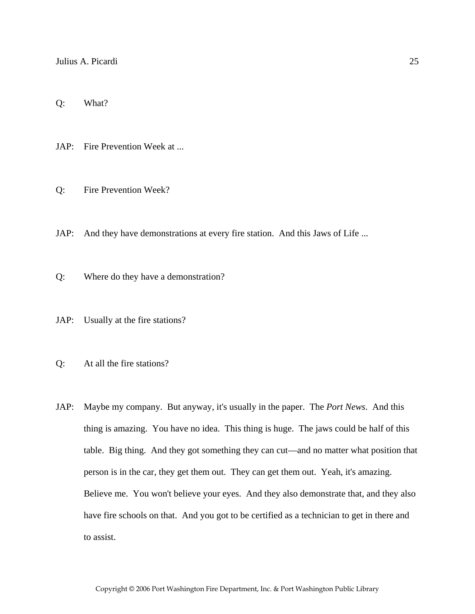Q: What?

JAP: Fire Prevention Week at ...

Q: Fire Prevention Week?

JAP: And they have demonstrations at every fire station. And this Jaws of Life ...

Q: Where do they have a demonstration?

JAP: Usually at the fire stations?

Q: At all the fire stations?

JAP: Maybe my company. But anyway, it's usually in the paper. The *Port News*. And this thing is amazing. You have no idea. This thing is huge. The jaws could be half of this table. Big thing. And they got something they can cut—and no matter what position that person is in the car, they get them out. They can get them out. Yeah, it's amazing. Believe me. You won't believe your eyes. And they also demonstrate that, and they also have fire schools on that. And you got to be certified as a technician to get in there and to assist.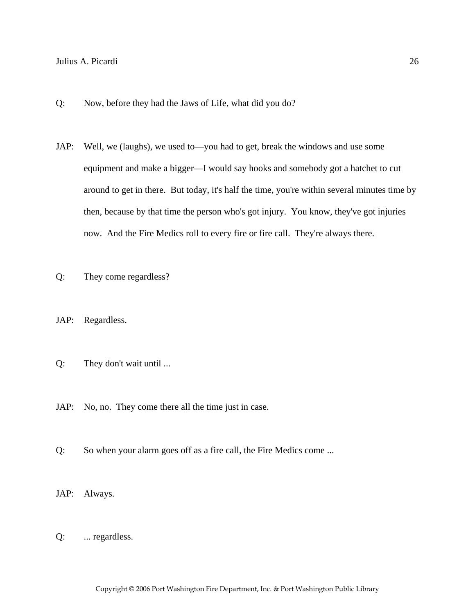- Q: Now, before they had the Jaws of Life, what did you do?
- JAP: Well, we (laughs), we used to—you had to get, break the windows and use some equipment and make a bigger—I would say hooks and somebody got a hatchet to cut around to get in there. But today, it's half the time, you're within several minutes time by then, because by that time the person who's got injury. You know, they've got injuries now. And the Fire Medics roll to every fire or fire call. They're always there.
- Q: They come regardless?
- JAP: Regardless.
- Q: They don't wait until ...
- JAP: No, no. They come there all the time just in case.
- Q: So when your alarm goes off as a fire call, the Fire Medics come ...
- JAP: Always.
- Q: ... regardless.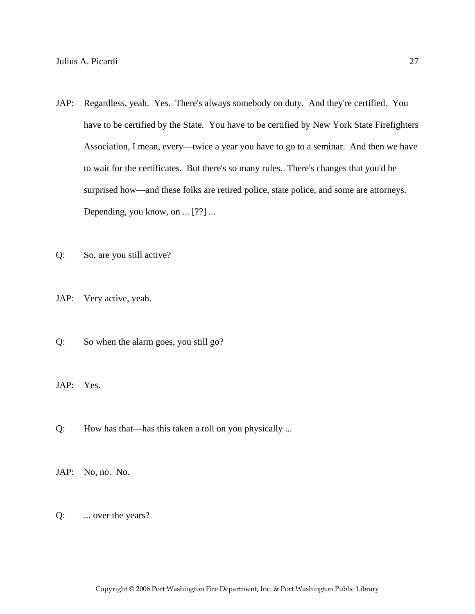- JAP: Regardless, yeah. Yes. There's always somebody on duty. And they're certified. You have to be certified by the State. You have to be certified by New York State Firefighters Association, I mean, every—twice a year you have to go to a seminar. And then we have to wait for the certificates. But there's so many rules. There's changes that you'd be surprised how—and these folks are retired police, state police, and some are attorneys. Depending, you know, on ... [??] ...
- Q: So, are you still active?
- JAP: Very active, yeah.
- Q: So when the alarm goes, you still go?
- JAP: Yes.
- Q: How has that—has this taken a toll on you physically ...
- JAP: No, no. No.
- Q: ... over the years?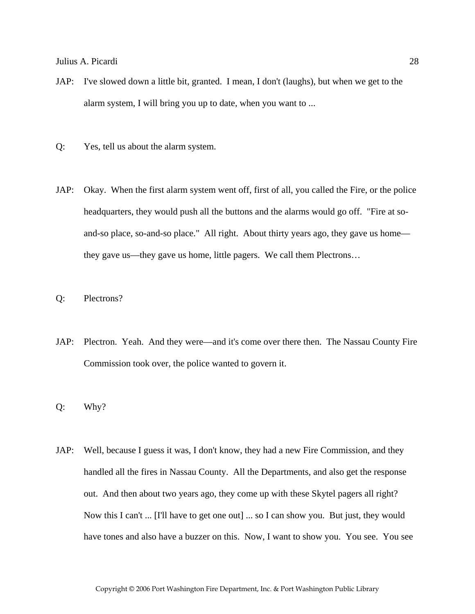- JAP: I've slowed down a little bit, granted. I mean, I don't (laughs), but when we get to the alarm system, I will bring you up to date, when you want to ...
- Q: Yes, tell us about the alarm system.
- JAP: Okay. When the first alarm system went off, first of all, you called the Fire, or the police headquarters, they would push all the buttons and the alarms would go off. "Fire at soand-so place, so-and-so place." All right. About thirty years ago, they gave us home they gave us—they gave us home, little pagers. We call them Plectrons…
- Q: Plectrons?
- JAP: Plectron. Yeah. And they were—and it's come over there then. The Nassau County Fire Commission took over, the police wanted to govern it.
- Q: Why?
- JAP: Well, because I guess it was, I don't know, they had a new Fire Commission, and they handled all the fires in Nassau County. All the Departments, and also get the response out. And then about two years ago, they come up with these Skytel pagers all right? Now this I can't ... [I'll have to get one out] ... so I can show you. But just, they would have tones and also have a buzzer on this. Now, I want to show you. You see. You see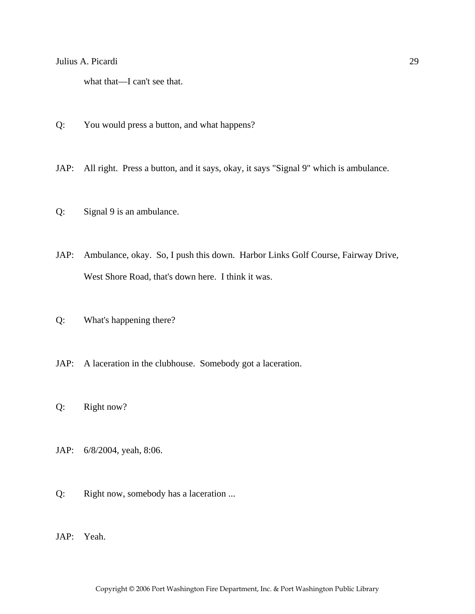what that—I can't see that.

- Q: You would press a button, and what happens?
- JAP: All right. Press a button, and it says, okay, it says "Signal 9" which is ambulance.
- Q: Signal 9 is an ambulance.
- JAP: Ambulance, okay. So, I push this down. Harbor Links Golf Course, Fairway Drive, West Shore Road, that's down here. I think it was.
- Q: What's happening there?
- JAP: A laceration in the clubhouse. Somebody got a laceration.
- Q: Right now?
- JAP: 6/8/2004, yeah, 8:06.
- Q: Right now, somebody has a laceration ...
- JAP: Yeah.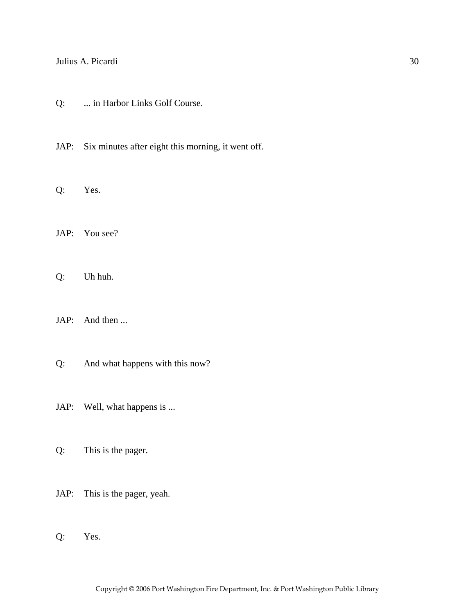- Q: ... in Harbor Links Golf Course.
- JAP: Six minutes after eight this morning, it went off.
- Q: Yes.
- JAP: You see?
- Q: Uh huh.
- JAP: And then ...
- Q: And what happens with this now?
- JAP: Well, what happens is ...
- Q: This is the pager.
- JAP: This is the pager, yeah.
- Q: Yes.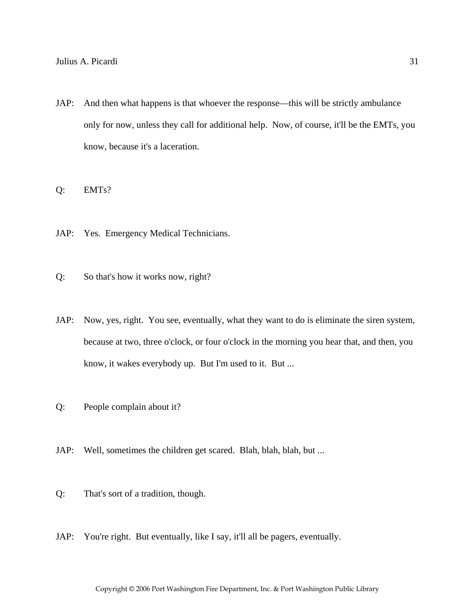JAP: And then what happens is that whoever the response—this will be strictly ambulance only for now, unless they call for additional help. Now, of course, it'll be the EMTs, you know, because it's a laceration.

Q: EMTs?

- JAP: Yes. Emergency Medical Technicians.
- Q: So that's how it works now, right?
- JAP: Now, yes, right. You see, eventually, what they want to do is eliminate the siren system, because at two, three o'clock, or four o'clock in the morning you hear that, and then, you know, it wakes everybody up. But I'm used to it. But ...
- Q: People complain about it?
- JAP: Well, sometimes the children get scared. Blah, blah, blah, but ...
- Q: That's sort of a tradition, though.
- JAP: You're right. But eventually, like I say, it'll all be pagers, eventually.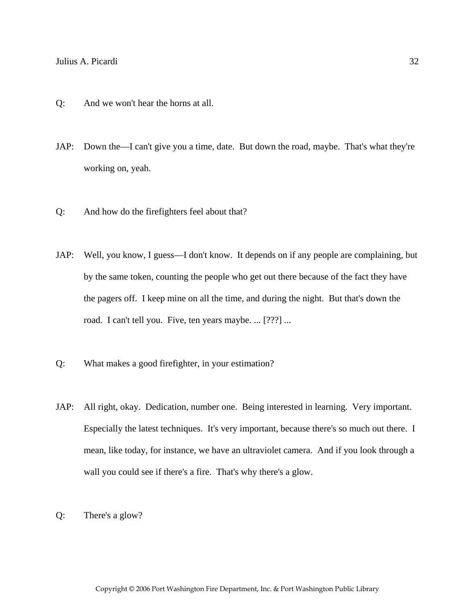- Q: And we won't hear the horns at all.
- JAP: Down the—I can't give you a time, date. But down the road, maybe. That's what they're working on, yeah.
- Q: And how do the firefighters feel about that?
- JAP: Well, you know, I guess—I don't know. It depends on if any people are complaining, but by the same token, counting the people who get out there because of the fact they have the pagers off. I keep mine on all the time, and during the night. But that's down the road. I can't tell you. Five, ten years maybe. ... [???] ...
- Q: What makes a good firefighter, in your estimation?
- JAP: All right, okay. Dedication, number one. Being interested in learning. Very important. Especially the latest techniques. It's very important, because there's so much out there. I mean, like today, for instance, we have an ultraviolet camera. And if you look through a wall you could see if there's a fire. That's why there's a glow.
- Q: There's a glow?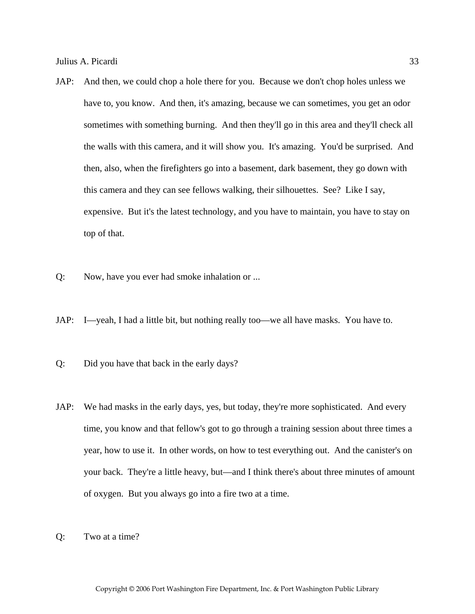- JAP: And then, we could chop a hole there for you. Because we don't chop holes unless we have to, you know. And then, it's amazing, because we can sometimes, you get an odor sometimes with something burning. And then they'll go in this area and they'll check all the walls with this camera, and it will show you. It's amazing. You'd be surprised. And then, also, when the firefighters go into a basement, dark basement, they go down with this camera and they can see fellows walking, their silhouettes. See? Like I say, expensive. But it's the latest technology, and you have to maintain, you have to stay on top of that.
- Q: Now, have you ever had smoke inhalation or ...
- JAP: I—yeah, I had a little bit, but nothing really too—we all have masks. You have to.
- Q: Did you have that back in the early days?
- JAP: We had masks in the early days, yes, but today, they're more sophisticated. And every time, you know and that fellow's got to go through a training session about three times a year, how to use it. In other words, on how to test everything out. And the canister's on your back. They're a little heavy, but—and I think there's about three minutes of amount of oxygen. But you always go into a fire two at a time.
- Q: Two at a time?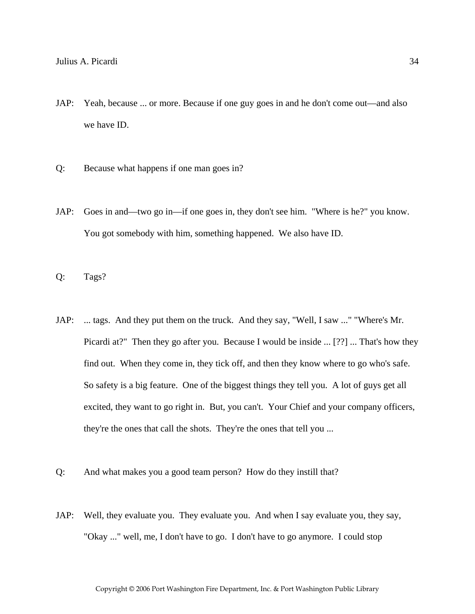- JAP: Yeah, because ... or more. Because if one guy goes in and he don't come out—and also we have ID.
- Q: Because what happens if one man goes in?
- JAP: Goes in and—two go in—if one goes in, they don't see him. "Where is he?" you know. You got somebody with him, something happened. We also have ID.
- Q: Tags?
- JAP: ... tags. And they put them on the truck. And they say, "Well, I saw ..." "Where's Mr. Picardi at?" Then they go after you. Because I would be inside ... [??] ... That's how they find out. When they come in, they tick off, and then they know where to go who's safe. So safety is a big feature. One of the biggest things they tell you. A lot of guys get all excited, they want to go right in. But, you can't. Your Chief and your company officers, they're the ones that call the shots. They're the ones that tell you ...
- Q: And what makes you a good team person? How do they instill that?
- JAP: Well, they evaluate you. They evaluate you. And when I say evaluate you, they say, "Okay ..." well, me, I don't have to go. I don't have to go anymore. I could stop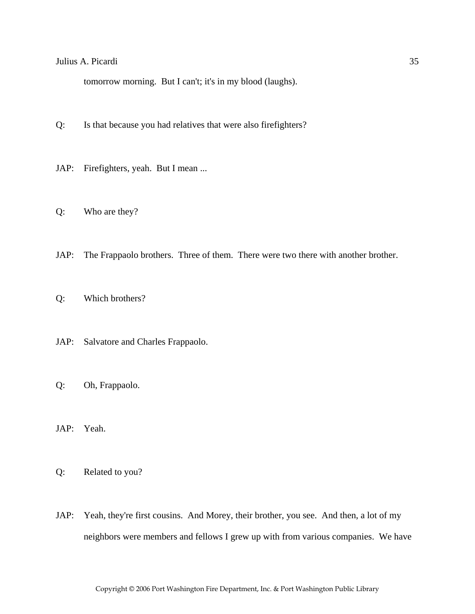tomorrow morning. But I can't; it's in my blood (laughs).

- Q: Is that because you had relatives that were also firefighters?
- JAP: Firefighters, yeah. But I mean ...
- Q: Who are they?
- JAP: The Frappaolo brothers. Three of them. There were two there with another brother.
- Q: Which brothers?
- JAP: Salvatore and Charles Frappaolo.
- Q: Oh, Frappaolo.
- JAP: Yeah.
- Q: Related to you?
- JAP: Yeah, they're first cousins. And Morey, their brother, you see. And then, a lot of my neighbors were members and fellows I grew up with from various companies. We have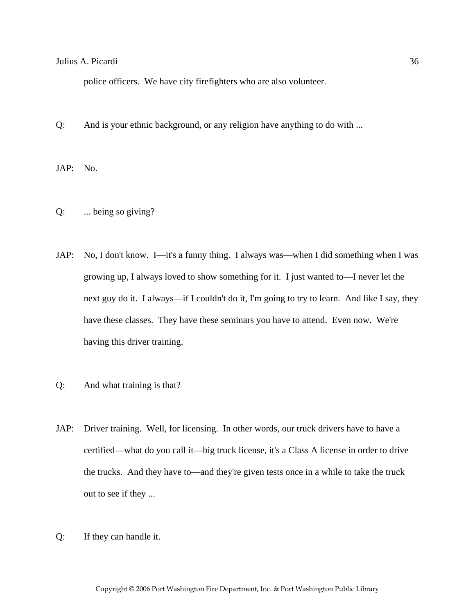police officers. We have city firefighters who are also volunteer.

Q: And is your ethnic background, or any religion have anything to do with ...

JAP: No.

- Q: ... being so giving?
- JAP: No, I don't know. I—it's a funny thing. I always was—when I did something when I was growing up, I always loved to show something for it. I just wanted to—I never let the next guy do it. I always—if I couldn't do it, I'm going to try to learn. And like I say, they have these classes. They have these seminars you have to attend. Even now. We're having this driver training.
- Q: And what training is that?
- JAP: Driver training. Well, for licensing. In other words, our truck drivers have to have a certified—what do you call it—big truck license, it's a Class A license in order to drive the trucks. And they have to—and they're given tests once in a while to take the truck out to see if they ...

Copyright © 2006 Port Washington Fire Department, Inc. & Port Washington Public Library

Q: If they can handle it.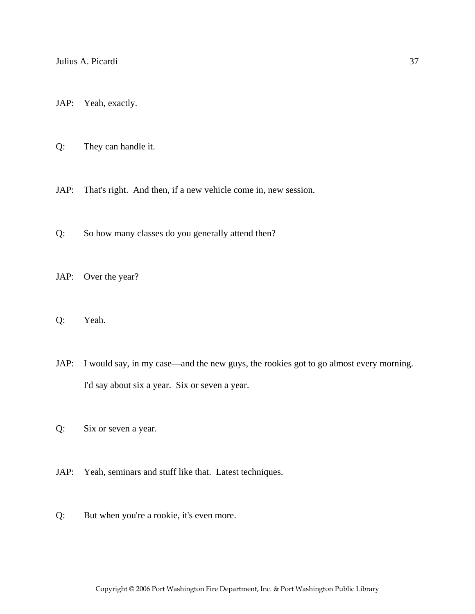JAP: Yeah, exactly.

Q: They can handle it.

JAP: That's right. And then, if a new vehicle come in, new session.

Q: So how many classes do you generally attend then?

JAP: Over the year?

Q: Yeah.

JAP: I would say, in my case—and the new guys, the rookies got to go almost every morning. I'd say about six a year. Six or seven a year.

Q: Six or seven a year.

JAP: Yeah, seminars and stuff like that. Latest techniques.

Q: But when you're a rookie, it's even more.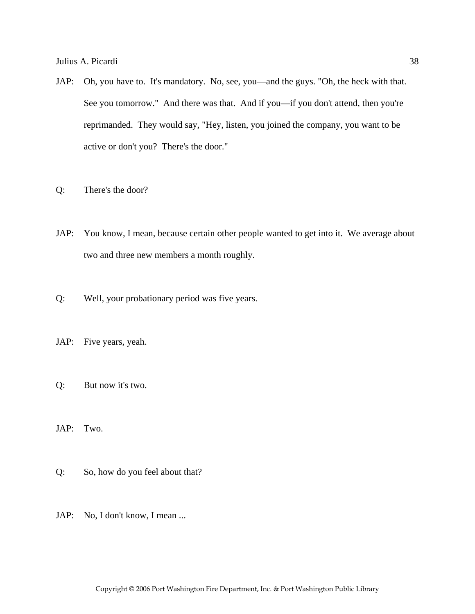- JAP: Oh, you have to. It's mandatory. No, see, you—and the guys. "Oh, the heck with that. See you tomorrow." And there was that. And if you—if you don't attend, then you're reprimanded. They would say, "Hey, listen, you joined the company, you want to be active or don't you? There's the door."
- Q: There's the door?
- JAP: You know, I mean, because certain other people wanted to get into it. We average about two and three new members a month roughly.
- Q: Well, your probationary period was five years.
- JAP: Five years, yeah.
- Q: But now it's two.
- JAP: Two.
- Q: So, how do you feel about that?
- JAP: No, I don't know, I mean ...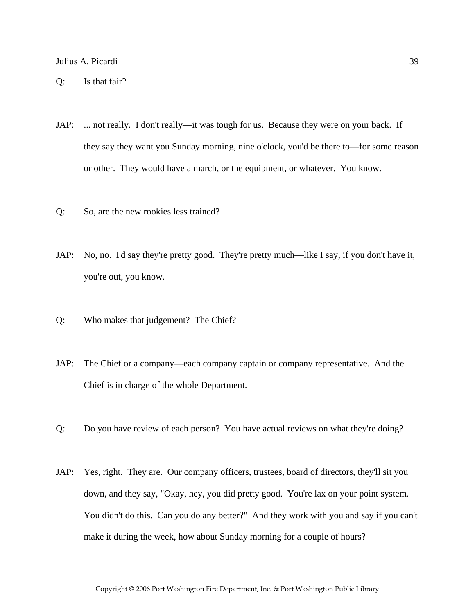- JAP: ... not really. I don't really—it was tough for us. Because they were on your back. If they say they want you Sunday morning, nine o'clock, you'd be there to—for some reason or other. They would have a march, or the equipment, or whatever. You know.
- Q: So, are the new rookies less trained?
- JAP: No, no. I'd say they're pretty good. They're pretty much—like I say, if you don't have it, you're out, you know.
- Q: Who makes that judgement? The Chief?
- JAP: The Chief or a company—each company captain or company representative. And the Chief is in charge of the whole Department.
- Q: Do you have review of each person? You have actual reviews on what they're doing?
- JAP: Yes, right. They are. Our company officers, trustees, board of directors, they'll sit you down, and they say, "Okay, hey, you did pretty good. You're lax on your point system. You didn't do this. Can you do any better?" And they work with you and say if you can't make it during the week, how about Sunday morning for a couple of hours?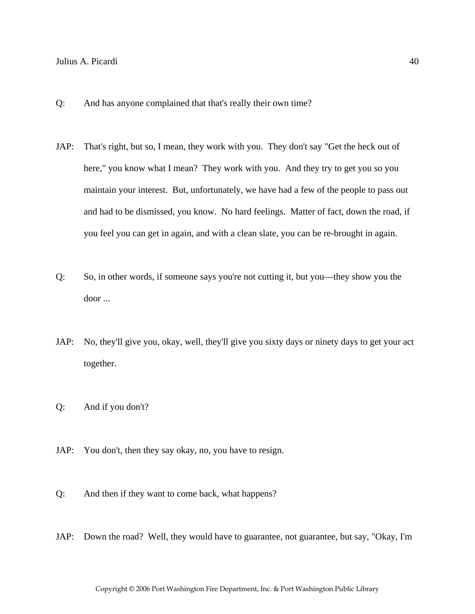- Q: And has anyone complained that that's really their own time?
- JAP: That's right, but so, I mean, they work with you. They don't say "Get the heck out of here," you know what I mean? They work with you. And they try to get you so you maintain your interest. But, unfortunately, we have had a few of the people to pass out and had to be dismissed, you know. No hard feelings. Matter of fact, down the road, if you feel you can get in again, and with a clean slate, you can be re-brought in again.
- Q: So, in other words, if someone says you're not cutting it, but you—they show you the door ...
- JAP: No, they'll give you, okay, well, they'll give you sixty days or ninety days to get your act together.
- Q: And if you don't?
- JAP: You don't, then they say okay, no, you have to resign.
- Q: And then if they want to come back, what happens?
- JAP: Down the road? Well, they would have to guarantee, not guarantee, but say, "Okay, I'm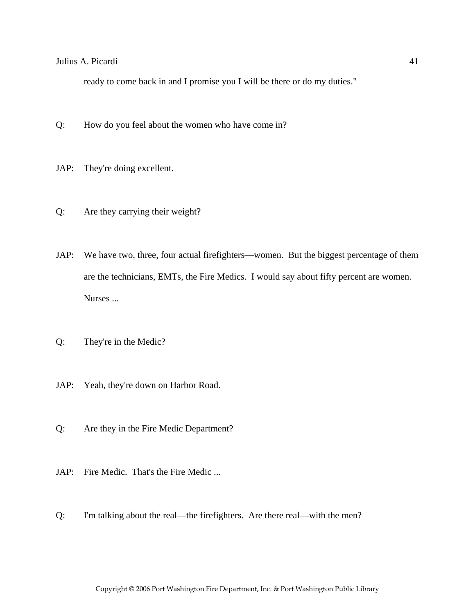ready to come back in and I promise you I will be there or do my duties."

- Q: How do you feel about the women who have come in?
- JAP: They're doing excellent.
- Q: Are they carrying their weight?
- JAP: We have two, three, four actual firefighters—women. But the biggest percentage of them are the technicians, EMTs, the Fire Medics. I would say about fifty percent are women. Nurses ...
- Q: They're in the Medic?
- JAP: Yeah, they're down on Harbor Road.
- Q: Are they in the Fire Medic Department?
- JAP: Fire Medic. That's the Fire Medic ...
- Q: I'm talking about the real—the firefighters. Are there real—with the men?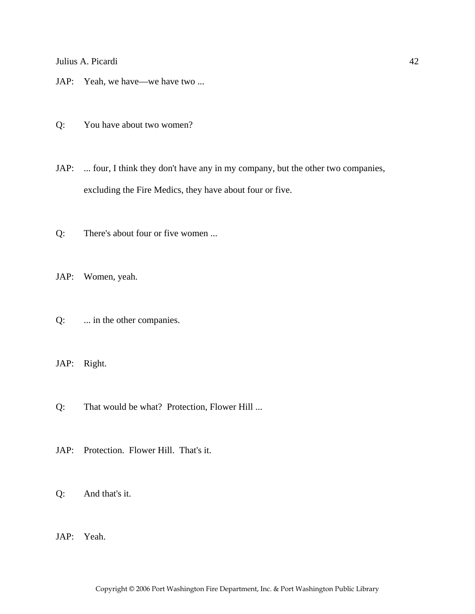JAP: Yeah, we have—we have two ...

Q: You have about two women?

JAP: ... four, I think they don't have any in my company, but the other two companies, excluding the Fire Medics, they have about four or five.

Q: There's about four or five women ...

JAP: Women, yeah.

Q: ... in the other companies.

JAP: Right.

Q: That would be what? Protection, Flower Hill ...

JAP: Protection. Flower Hill. That's it.

Q: And that's it.

JAP: Yeah.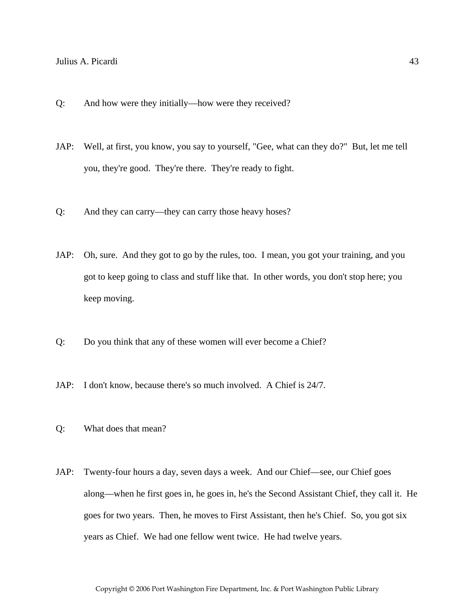- Q: And how were they initially—how were they received?
- JAP: Well, at first, you know, you say to yourself, "Gee, what can they do?" But, let me tell you, they're good. They're there. They're ready to fight.
- Q: And they can carry—they can carry those heavy hoses?
- JAP: Oh, sure. And they got to go by the rules, too. I mean, you got your training, and you got to keep going to class and stuff like that. In other words, you don't stop here; you keep moving.
- Q: Do you think that any of these women will ever become a Chief?
- JAP: I don't know, because there's so much involved. A Chief is 24/7.
- Q: What does that mean?
- JAP: Twenty-four hours a day, seven days a week. And our Chief—see, our Chief goes along—when he first goes in, he goes in, he's the Second Assistant Chief, they call it. He goes for two years. Then, he moves to First Assistant, then he's Chief. So, you got six years as Chief. We had one fellow went twice. He had twelve years.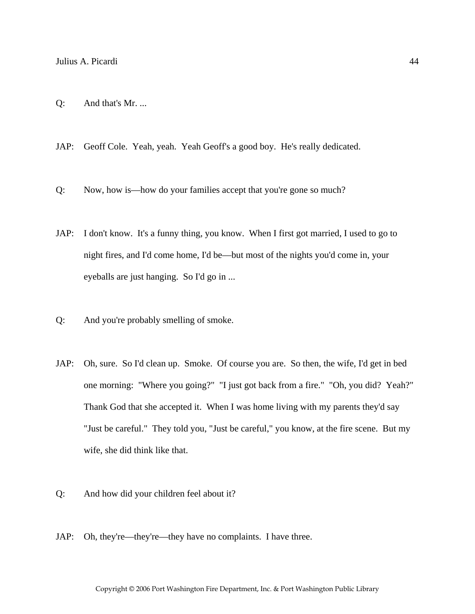- Q: And that's Mr. ...
- JAP: Geoff Cole. Yeah, yeah. Yeah Geoff's a good boy. He's really dedicated.
- Q: Now, how is—how do your families accept that you're gone so much?
- JAP: I don't know. It's a funny thing, you know. When I first got married, I used to go to night fires, and I'd come home, I'd be—but most of the nights you'd come in, your eyeballs are just hanging. So I'd go in ...
- Q: And you're probably smelling of smoke.
- JAP: Oh, sure. So I'd clean up. Smoke. Of course you are. So then, the wife, I'd get in bed one morning: "Where you going?" "I just got back from a fire." "Oh, you did? Yeah?" Thank God that she accepted it. When I was home living with my parents they'd say "Just be careful." They told you, "Just be careful," you know, at the fire scene. But my wife, she did think like that.
- Q: And how did your children feel about it?
- JAP: Oh, they're—they're—they have no complaints. I have three.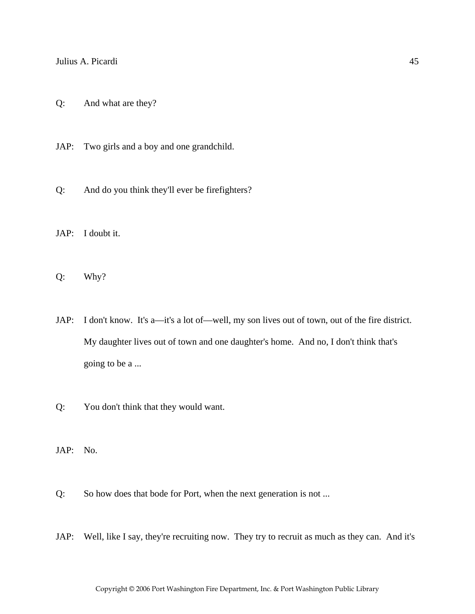- Q: And what are they?
- JAP: Two girls and a boy and one grandchild.
- Q: And do you think they'll ever be firefighters?
- JAP: I doubt it.
- Q: Why?
- JAP: I don't know. It's a—it's a lot of—well, my son lives out of town, out of the fire district. My daughter lives out of town and one daughter's home. And no, I don't think that's going to be a ...
- Q: You don't think that they would want.
- JAP: No.
- Q: So how does that bode for Port, when the next generation is not ...
- JAP: Well, like I say, they're recruiting now. They try to recruit as much as they can. And it's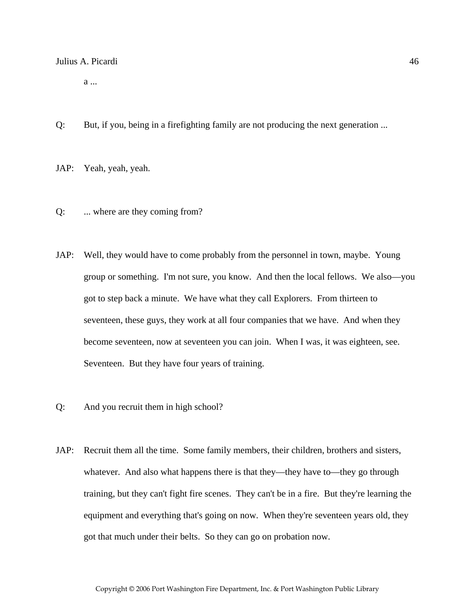a ...

- Q: But, if you, being in a firefighting family are not producing the next generation ...
- JAP: Yeah, yeah, yeah.
- Q: ... where are they coming from?
- JAP: Well, they would have to come probably from the personnel in town, maybe. Young group or something. I'm not sure, you know. And then the local fellows. We also—you got to step back a minute. We have what they call Explorers. From thirteen to seventeen, these guys, they work at all four companies that we have. And when they become seventeen, now at seventeen you can join. When I was, it was eighteen, see. Seventeen. But they have four years of training.
- Q: And you recruit them in high school?
- JAP: Recruit them all the time. Some family members, their children, brothers and sisters, whatever. And also what happens there is that they—they have to—they go through training, but they can't fight fire scenes. They can't be in a fire. But they're learning the equipment and everything that's going on now. When they're seventeen years old, they got that much under their belts. So they can go on probation now.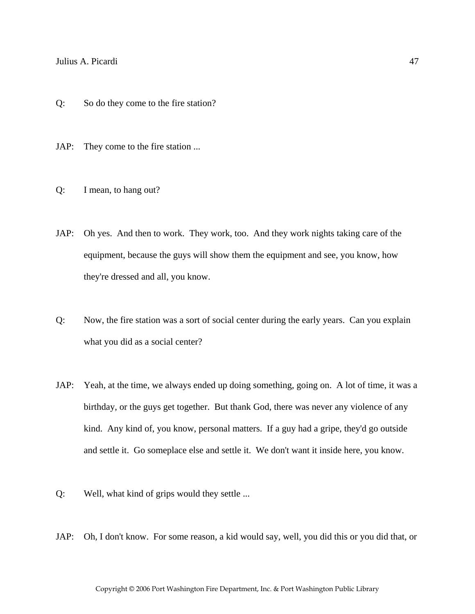- Q: So do they come to the fire station?
- JAP: They come to the fire station ...
- Q: I mean, to hang out?
- JAP: Oh yes. And then to work. They work, too. And they work nights taking care of the equipment, because the guys will show them the equipment and see, you know, how they're dressed and all, you know.
- Q: Now, the fire station was a sort of social center during the early years. Can you explain what you did as a social center?
- JAP: Yeah, at the time, we always ended up doing something, going on. A lot of time, it was a birthday, or the guys get together. But thank God, there was never any violence of any kind. Any kind of, you know, personal matters. If a guy had a gripe, they'd go outside and settle it. Go someplace else and settle it. We don't want it inside here, you know.
- Q: Well, what kind of grips would they settle ...
- JAP: Oh, I don't know. For some reason, a kid would say, well, you did this or you did that, or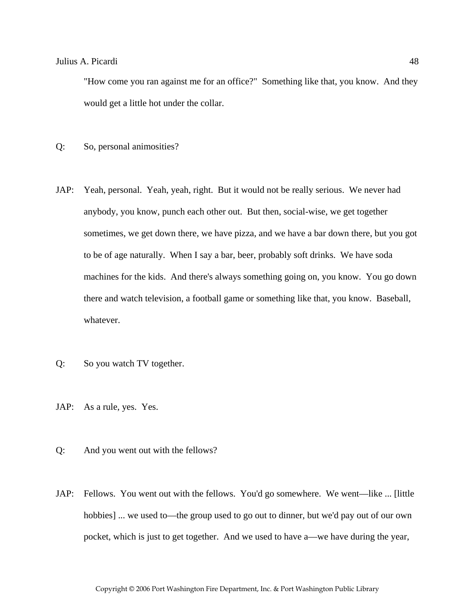"How come you ran against me for an office?" Something like that, you know. And they would get a little hot under the collar.

- Q: So, personal animosities?
- JAP: Yeah, personal. Yeah, yeah, right. But it would not be really serious. We never had anybody, you know, punch each other out. But then, social-wise, we get together sometimes, we get down there, we have pizza, and we have a bar down there, but you got to be of age naturally. When I say a bar, beer, probably soft drinks. We have soda machines for the kids. And there's always something going on, you know. You go down there and watch television, a football game or something like that, you know. Baseball, whatever.
- Q: So you watch TV together.
- JAP: As a rule, yes. Yes.
- Q: And you went out with the fellows?
- JAP: Fellows. You went out with the fellows. You'd go somewhere. We went—like ... [little hobbies] ... we used to—the group used to go out to dinner, but we'd pay out of our own pocket, which is just to get together. And we used to have a—we have during the year,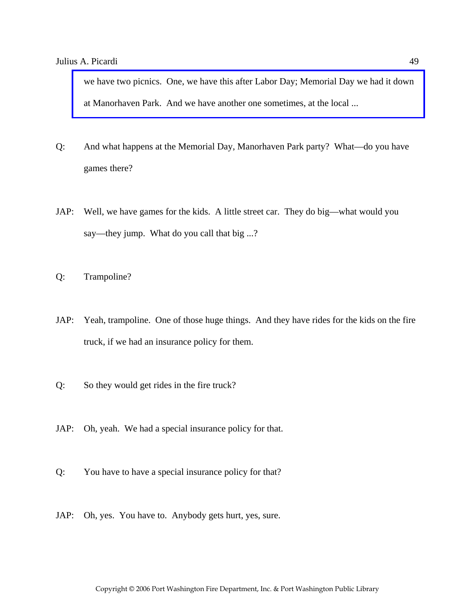[we have two picnics. One, we have this after Labor Day; Memorial Day we had it down](http://www.pwfdhistory.com/trans/picardij_trans/pwfd_picnic001.jpg)  at Manorhaven Park. And we have another one sometimes, at the local ...

- Q: And what happens at the Memorial Day, Manorhaven Park party? What—do you have games there?
- JAP: Well, we have games for the kids. A little street car. They do big—what would you say—they jump. What do you call that big ...?
- Q: Trampoline?
- JAP: Yeah, trampoline. One of those huge things. And they have rides for the kids on the fire truck, if we had an insurance policy for them.
- Q: So they would get rides in the fire truck?
- JAP: Oh, yeah. We had a special insurance policy for that.
- Q: You have to have a special insurance policy for that?
- JAP: Oh, yes. You have to. Anybody gets hurt, yes, sure.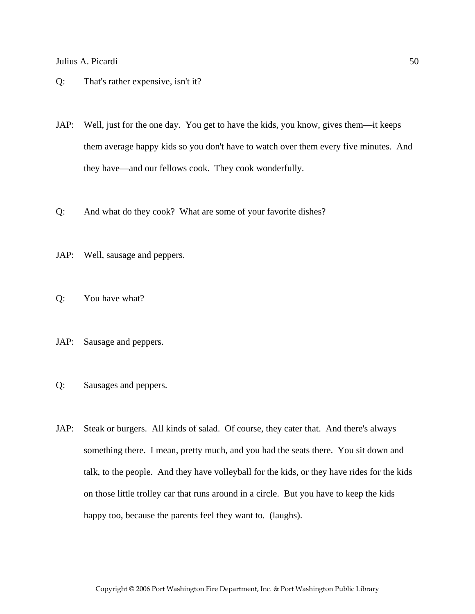- Q: That's rather expensive, isn't it?
- JAP: Well, just for the one day. You get to have the kids, you know, gives them—it keeps them average happy kids so you don't have to watch over them every five minutes. And they have—and our fellows cook. They cook wonderfully.
- Q: And what do they cook? What are some of your favorite dishes?
- JAP: Well, sausage and peppers.
- Q: You have what?
- JAP: Sausage and peppers.
- Q: Sausages and peppers.
- JAP: Steak or burgers. All kinds of salad. Of course, they cater that. And there's always something there. I mean, pretty much, and you had the seats there. You sit down and talk, to the people. And they have volleyball for the kids, or they have rides for the kids on those little trolley car that runs around in a circle. But you have to keep the kids happy too, because the parents feel they want to. (laughs).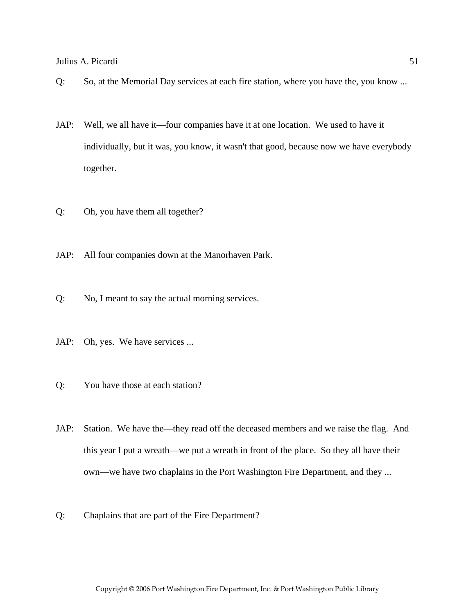- Q: So, at the Memorial Day services at each fire station, where you have the, you know ...
- JAP: Well, we all have it—four companies have it at one location. We used to have it individually, but it was, you know, it wasn't that good, because now we have everybody together.
- Q: Oh, you have them all together?
- JAP: All four companies down at the Manorhaven Park.
- Q: No, I meant to say the actual morning services.
- JAP: Oh, yes. We have services ...
- Q: You have those at each station?
- JAP: Station. We have the—they read off the deceased members and we raise the flag. And this year I put a wreath—we put a wreath in front of the place. So they all have their own—we have two chaplains in the Port Washington Fire Department, and they ...
- Q: Chaplains that are part of the Fire Department?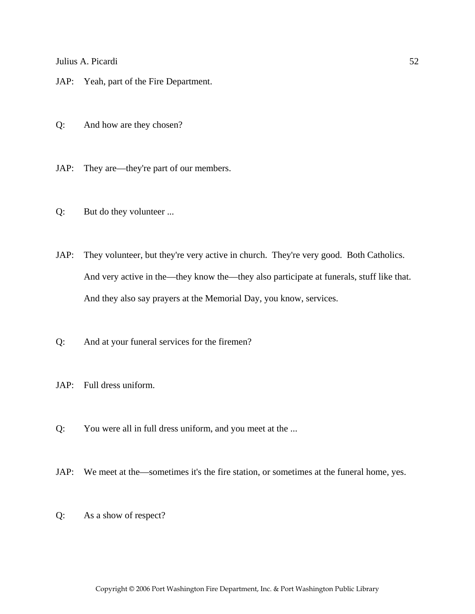JAP: Yeah, part of the Fire Department.

Q: And how are they chosen?

JAP: They are—they're part of our members.

Q: But do they volunteer ...

JAP: They volunteer, but they're very active in church. They're very good. Both Catholics. And very active in the—they know the—they also participate at funerals, stuff like that. And they also say prayers at the Memorial Day, you know, services.

Q: And at your funeral services for the firemen?

JAP: Full dress uniform.

Q: You were all in full dress uniform, and you meet at the ...

JAP: We meet at the—sometimes it's the fire station, or sometimes at the funeral home, yes.

Q: As a show of respect?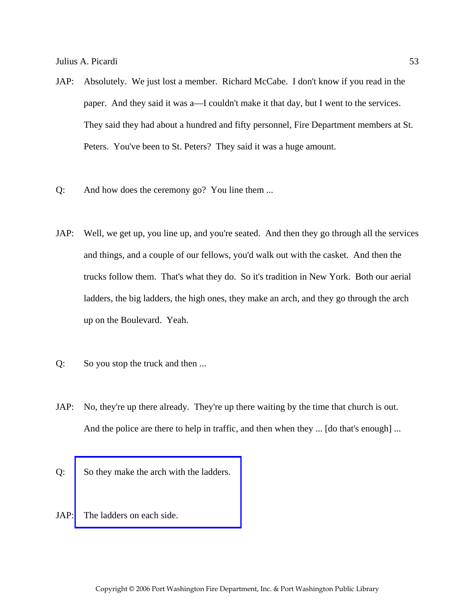- JAP: Absolutely. We just lost a member. Richard McCabe. I don't know if you read in the paper. And they said it was a—I couldn't make it that day, but I went to the services. They said they had about a hundred and fifty personnel, Fire Department members at St. Peters. You've been to St. Peters? They said it was a huge amount.
- Q: And how does the ceremony go? You line them ...
- JAP: Well, we get up, you line up, and you're seated. And then they go through all the services and things, and a couple of our fellows, you'd walk out with the casket. And then the trucks follow them. That's what they do. So it's tradition in New York. Both our aerial ladders, the big ladders, the high ones, they make an arch, and they go through the arch up on the Boulevard. Yeah.
- Q: So you stop the truck and then ...
- JAP: No, they're up there already. They're up there waiting by the time that church is out. And the police are there to help in traffic, and then when they ... [do that's enough] ...
- Q: [So they make the arch with the ladders.](http://www.pwfdhistory.com/trans/picardij_trans/pnews881208e_pz.jpg)
- JAP: The ladders on each side.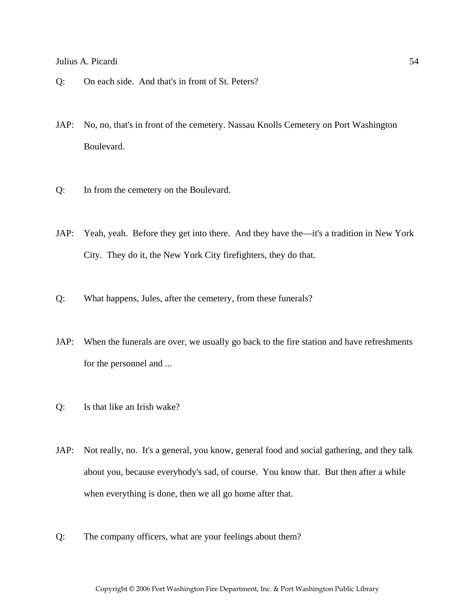- Q: On each side. And that's in front of St. Peters?
- JAP: No, no, that's in front of the cemetery. Nassau Knolls Cemetery on Port Washington Boulevard.
- Q: In from the cemetery on the Boulevard.
- JAP: Yeah, yeah. Before they get into there. And they have the—it's a tradition in New York City. They do it, the New York City firefighters, they do that.
- Q: What happens, Jules, after the cemetery, from these funerals?
- JAP: When the funerals are over, we usually go back to the fire station and have refreshments for the personnel and ...
- Q: Is that like an Irish wake?
- JAP: Not really, no. It's a general, you know, general food and social gathering, and they talk about you, because everybody's sad, of course. You know that. But then after a while when everything is done, then we all go home after that.
- Q: The company officers, what are your feelings about them?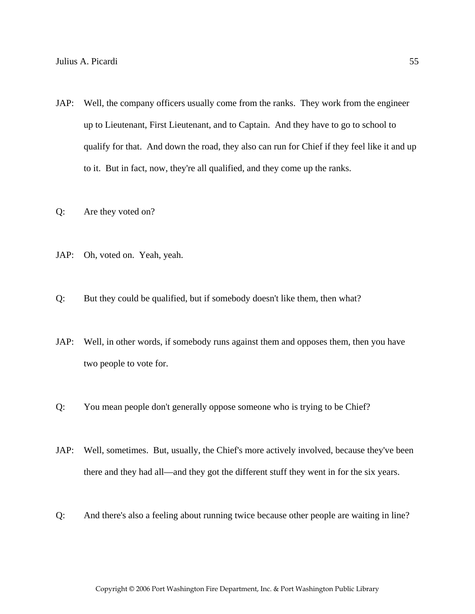- JAP: Well, the company officers usually come from the ranks. They work from the engineer up to Lieutenant, First Lieutenant, and to Captain. And they have to go to school to qualify for that. And down the road, they also can run for Chief if they feel like it and up to it. But in fact, now, they're all qualified, and they come up the ranks.
- Q: Are they voted on?
- JAP: Oh, voted on. Yeah, yeah.
- Q: But they could be qualified, but if somebody doesn't like them, then what?
- JAP: Well, in other words, if somebody runs against them and opposes them, then you have two people to vote for.
- Q: You mean people don't generally oppose someone who is trying to be Chief?
- JAP: Well, sometimes. But, usually, the Chief's more actively involved, because they've been there and they had all—and they got the different stuff they went in for the six years.
- Q: And there's also a feeling about running twice because other people are waiting in line?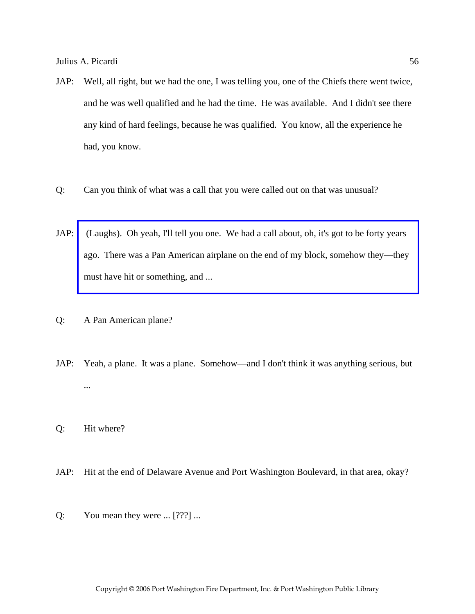- JAP: Well, all right, but we had the one, I was telling you, one of the Chiefs there went twice, and he was well qualified and he had the time. He was available. And I didn't see there any kind of hard feelings, because he was qualified. You know, all the experience he had, you know.
- Q: Can you think of what was a call that you were called out on that was unusual?
- JAP: [\(Laughs\). Oh yeah, I'll tell you one. We had a call about, oh, it's got to be forty years](http://www.pwfdhistory.com/trans/picardij_trans/pwfd_news042.pdf)  ago. There was a Pan American airplane on the end of my block, somehow they—they must have hit or something, and ...
- Q: A Pan American plane?
- JAP: Yeah, a plane. It was a plane. Somehow—and I don't think it was anything serious, but ...
- Q: Hit where?
- JAP: Hit at the end of Delaware Avenue and Port Washington Boulevard, in that area, okay?
- Q: You mean they were  $\ldots$  [???]  $\ldots$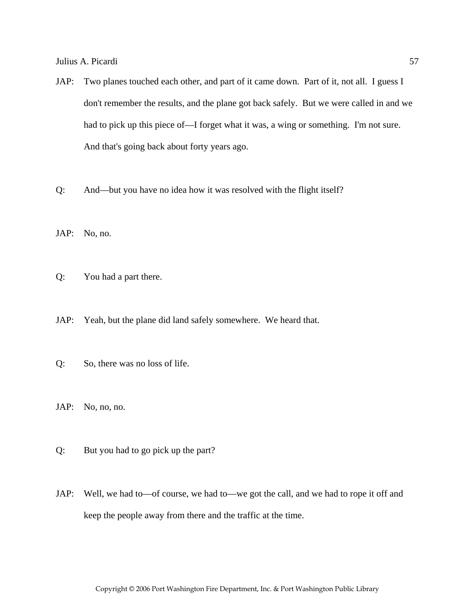- JAP: Two planes touched each other, and part of it came down. Part of it, not all. I guess I don't remember the results, and the plane got back safely. But we were called in and we had to pick up this piece of—I forget what it was, a wing or something. I'm not sure. And that's going back about forty years ago.
- Q: And—but you have no idea how it was resolved with the flight itself?

JAP: No, no.

Q: You had a part there.

- JAP: Yeah, but the plane did land safely somewhere. We heard that.
- Q: So, there was no loss of life.
- JAP: No, no, no.
- Q: But you had to go pick up the part?
- JAP: Well, we had to—of course, we had to—we got the call, and we had to rope it off and keep the people away from there and the traffic at the time.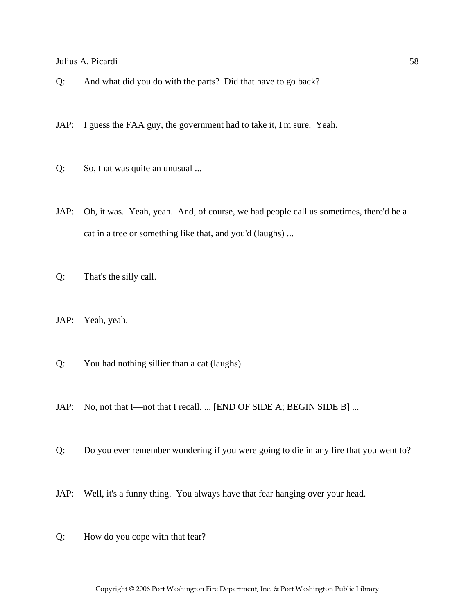- Q: And what did you do with the parts? Did that have to go back?
- JAP: I guess the FAA guy, the government had to take it, I'm sure. Yeah.
- Q: So, that was quite an unusual ...
- JAP: Oh, it was. Yeah, yeah. And, of course, we had people call us sometimes, there'd be a cat in a tree or something like that, and you'd (laughs) ...
- Q: That's the silly call.
- JAP: Yeah, yeah.
- Q: You had nothing sillier than a cat (laughs).
- JAP: No, not that I—not that I recall. ... [END OF SIDE A; BEGIN SIDE B] ...
- Q: Do you ever remember wondering if you were going to die in any fire that you went to?
- JAP: Well, it's a funny thing. You always have that fear hanging over your head.
- Q: How do you cope with that fear?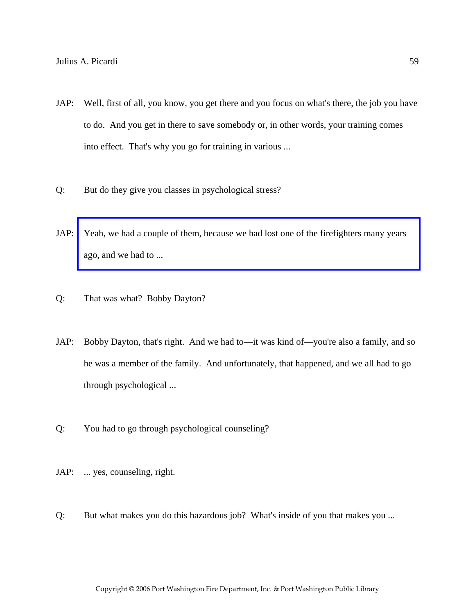- JAP: Well, first of all, you know, you get there and you focus on what's there, the job you have to do. And you get in there to save somebody or, in other words, your training comes into effect. That's why you go for training in various ...
- Q: But do they give you classes in psychological stress?
- JAP: [Yeah, we had a couple of them, because we had lost one of the firefighters many years](http://www.pwfdhistory.com/trans/picardij_trans/pnews881201_pz.pdf)  ago, and we had to ...
- Q: That was what? Bobby Dayton?
- JAP: Bobby Dayton, that's right. And we had to—it was kind of—you're also a family, and so he was a member of the family. And unfortunately, that happened, and we all had to go through psychological ...
- Q: You had to go through psychological counseling?
- JAP: ... yes, counseling, right.
- Q: But what makes you do this hazardous job? What's inside of you that makes you ...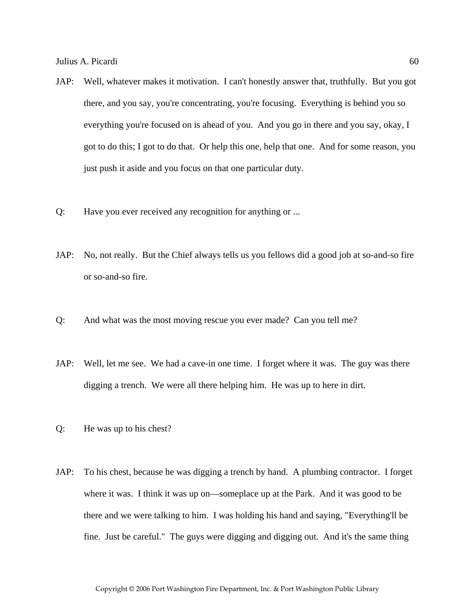- JAP: Well, whatever makes it motivation. I can't honestly answer that, truthfully. But you got there, and you say, you're concentrating, you're focusing. Everything is behind you so everything you're focused on is ahead of you. And you go in there and you say, okay, I got to do this; I got to do that. Or help this one, help that one. And for some reason, you just push it aside and you focus on that one particular duty.
- Q: Have you ever received any recognition for anything or ...
- JAP: No, not really. But the Chief always tells us you fellows did a good job at so-and-so fire or so-and-so fire.
- Q: And what was the most moving rescue you ever made? Can you tell me?
- JAP: Well, let me see. We had a cave-in one time. I forget where it was. The guy was there digging a trench. We were all there helping him. He was up to here in dirt.
- Q: He was up to his chest?
- JAP: To his chest, because he was digging a trench by hand. A plumbing contractor. I forget where it was. I think it was up on—someplace up at the Park. And it was good to be there and we were talking to him. I was holding his hand and saying, "Everything'll be fine. Just be careful." The guys were digging and digging out. And it's the same thing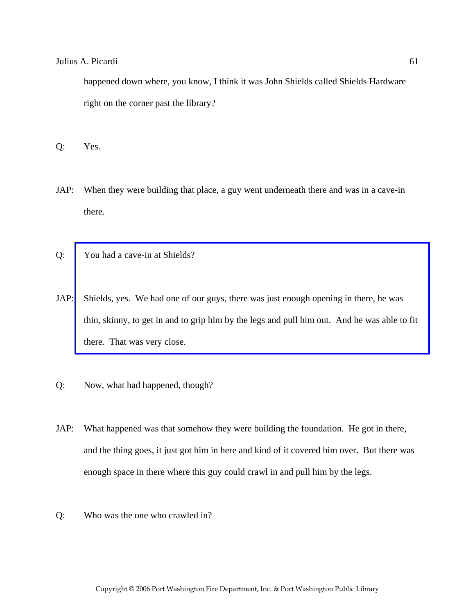happened down where, you know, I think it was John Shields called Shields Hardware right on the corner past the library?

Q: Yes.

- JAP: When they were building that place, a guy went underneath there and was in a cave-in there.
- Q: You had a cave-in at Shields?
- JAP: Shields, yes. We had one of our guys, there was just enough opening in there, he was [thin, skinny, to get in and to grip him by the legs and pull him out. And he was able to fit](http://www.pwfdhistory.com/trans/picardij_trans/dnews_960820_pz_web.jpg)  there. That was very close.
- Q: Now, what had happened, though?
- JAP: What happened was that somehow they were building the foundation. He got in there, and the thing goes, it just got him in here and kind of it covered him over. But there was enough space in there where this guy could crawl in and pull him by the legs.
- Q: Who was the one who crawled in?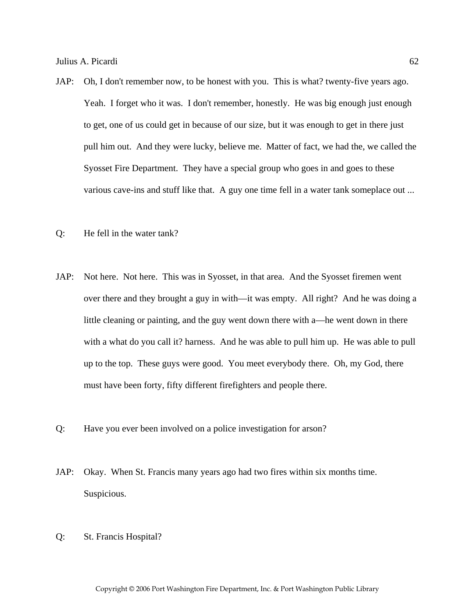- JAP: Oh, I don't remember now, to be honest with you. This is what? twenty-five years ago. Yeah. I forget who it was. I don't remember, honestly. He was big enough just enough to get, one of us could get in because of our size, but it was enough to get in there just pull him out. And they were lucky, believe me. Matter of fact, we had the, we called the Syosset Fire Department. They have a special group who goes in and goes to these various cave-ins and stuff like that. A guy one time fell in a water tank someplace out ...
- Q: He fell in the water tank?
- JAP: Not here. Not here. This was in Syosset, in that area. And the Syosset firemen went over there and they brought a guy in with—it was empty. All right? And he was doing a little cleaning or painting, and the guy went down there with a—he went down in there with a what do you call it? harness. And he was able to pull him up. He was able to pull up to the top. These guys were good. You meet everybody there. Oh, my God, there must have been forty, fifty different firefighters and people there.
- Q: Have you ever been involved on a police investigation for arson?
- JAP: Okay. When St. Francis many years ago had two fires within six months time. Suspicious.
- Q: St. Francis Hospital?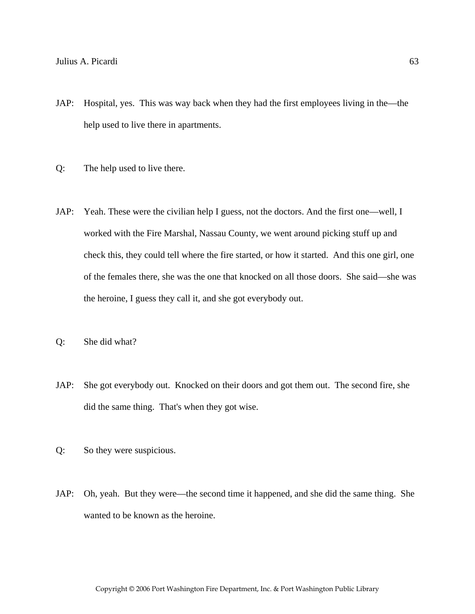- JAP: Hospital, yes. This was way back when they had the first employees living in the—the help used to live there in apartments.
- Q: The help used to live there.
- JAP: Yeah. These were the civilian help I guess, not the doctors. And the first one—well, I worked with the Fire Marshal, Nassau County, we went around picking stuff up and check this, they could tell where the fire started, or how it started. And this one girl, one of the females there, she was the one that knocked on all those doors. She said—she was the heroine, I guess they call it, and she got everybody out.
- Q: She did what?
- JAP: She got everybody out. Knocked on their doors and got them out. The second fire, she did the same thing. That's when they got wise.
- Q: So they were suspicious.
- JAP: Oh, yeah. But they were—the second time it happened, and she did the same thing. She wanted to be known as the heroine.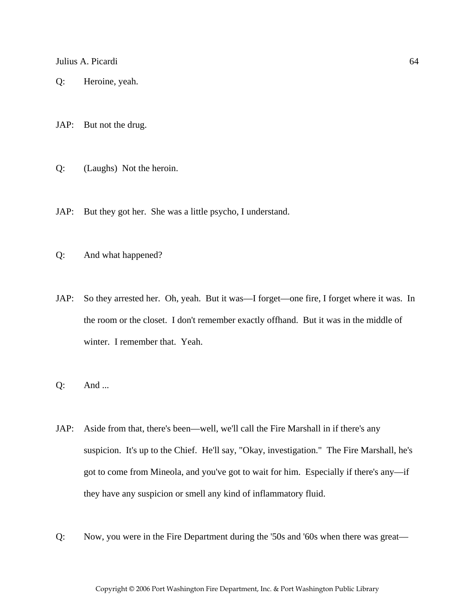Q: Heroine, yeah.

JAP: But not the drug.

Q: (Laughs) Not the heroin.

JAP: But they got her. She was a little psycho, I understand.

- Q: And what happened?
- JAP: So they arrested her. Oh, yeah. But it was—I forget—one fire, I forget where it was. In the room or the closet. I don't remember exactly offhand. But it was in the middle of winter. I remember that. Yeah.
- Q: And ...
- JAP: Aside from that, there's been—well, we'll call the Fire Marshall in if there's any suspicion. It's up to the Chief. He'll say, "Okay, investigation." The Fire Marshall, he's got to come from Mineola, and you've got to wait for him. Especially if there's any—if they have any suspicion or smell any kind of inflammatory fluid.
- Q: Now, you were in the Fire Department during the '50s and '60s when there was great—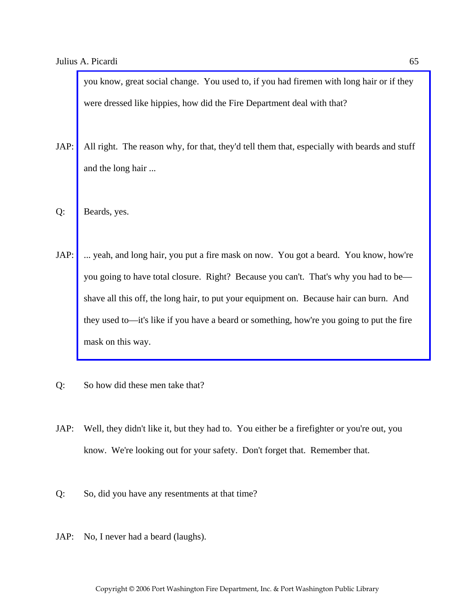you know, great social change. You used to, if you had firemen with long hair or if they were dressed like hippies, how did the Fire Department deal with that?

- JAP: [All right. The reason why, for that, they'd tell them that, especially with beards and stuff](http://www.pwfdhistory.com/trans/picardij_trans/news_cocks199a_web.jpg)  and the long hair ...
- Q: Beards, yes.
- JAP: ... yeah, and long hair, you put a fire mask on now. You got a beard. You know, how're you going to have total closure. Right? Because you can't. That's why you had to be shave all this off, the long hair, to put your equipment on. Because hair can burn. And they used to—it's like if you have a beard or something, how're you going to put the fire mask on this way.
- Q: So how did these men take that?
- JAP: Well, they didn't like it, but they had to. You either be a firefighter or you're out, you know. We're looking out for your safety. Don't forget that. Remember that.
- Q: So, did you have any resentments at that time?
- JAP: No, I never had a beard (laughs).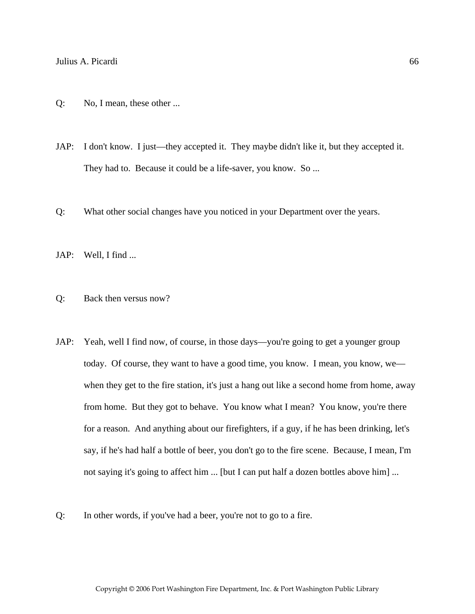- Q: No, I mean, these other ...
- JAP: I don't know. I just—they accepted it. They maybe didn't like it, but they accepted it. They had to. Because it could be a life-saver, you know. So ...
- Q: What other social changes have you noticed in your Department over the years.
- JAP: Well, I find ...
- Q: Back then versus now?
- JAP: Yeah, well I find now, of course, in those days—you're going to get a younger group today. Of course, they want to have a good time, you know. I mean, you know, we when they get to the fire station, it's just a hang out like a second home from home, away from home. But they got to behave. You know what I mean? You know, you're there for a reason. And anything about our firefighters, if a guy, if he has been drinking, let's say, if he's had half a bottle of beer, you don't go to the fire scene. Because, I mean, I'm not saying it's going to affect him ... [but I can put half a dozen bottles above him] ...
- Q: In other words, if you've had a beer, you're not to go to a fire.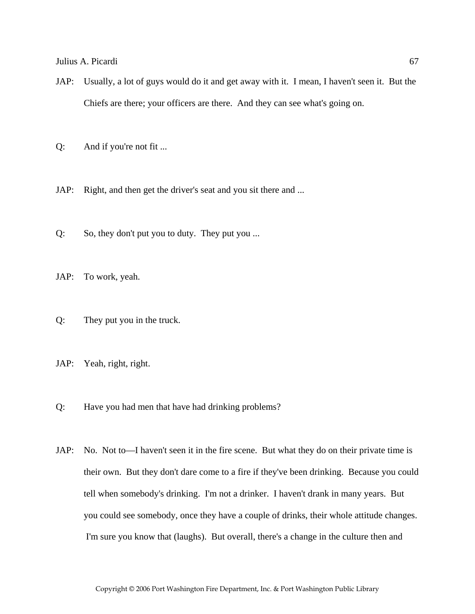- JAP: Usually, a lot of guys would do it and get away with it. I mean, I haven't seen it. But the Chiefs are there; your officers are there. And they can see what's going on.
- Q: And if you're not fit ...
- JAP: Right, and then get the driver's seat and you sit there and ...
- Q: So, they don't put you to duty. They put you ...
- JAP: To work, yeah.
- Q: They put you in the truck.
- JAP: Yeah, right, right.
- Q: Have you had men that have had drinking problems?
- JAP: No. Not to—I haven't seen it in the fire scene. But what they do on their private time is their own. But they don't dare come to a fire if they've been drinking. Because you could tell when somebody's drinking. I'm not a drinker. I haven't drank in many years. But you could see somebody, once they have a couple of drinks, their whole attitude changes. I'm sure you know that (laughs). But overall, there's a change in the culture then and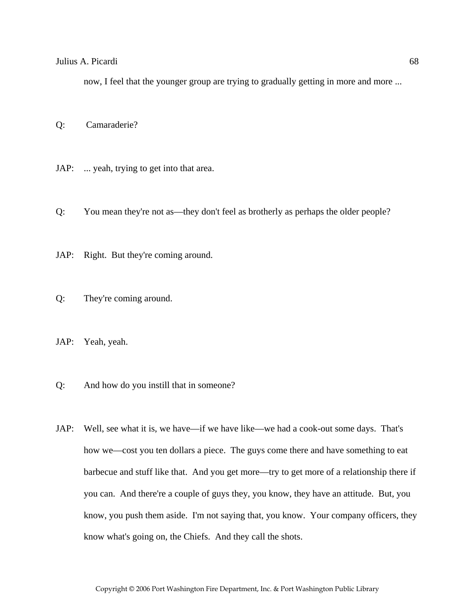now, I feel that the younger group are trying to gradually getting in more and more ...

Q: Camaraderie?

- JAP: ... yeah, trying to get into that area.
- Q: You mean they're not as—they don't feel as brotherly as perhaps the older people?
- JAP: Right. But they're coming around.
- Q: They're coming around.
- JAP: Yeah, yeah.
- Q: And how do you instill that in someone?
- JAP: Well, see what it is, we have—if we have like—we had a cook-out some days. That's how we—cost you ten dollars a piece. The guys come there and have something to eat barbecue and stuff like that. And you get more—try to get more of a relationship there if you can. And there're a couple of guys they, you know, they have an attitude. But, you know, you push them aside. I'm not saying that, you know. Your company officers, they know what's going on, the Chiefs. And they call the shots.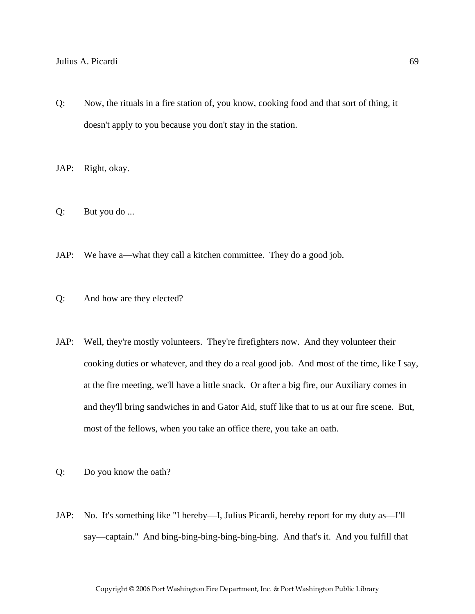Q: Now, the rituals in a fire station of, you know, cooking food and that sort of thing, it doesn't apply to you because you don't stay in the station.

JAP: Right, okay.

- Q: But you do ...
- JAP: We have a—what they call a kitchen committee. They do a good job.
- Q: And how are they elected?
- JAP: Well, they're mostly volunteers. They're firefighters now. And they volunteer their cooking duties or whatever, and they do a real good job. And most of the time, like I say, at the fire meeting, we'll have a little snack. Or after a big fire, our Auxiliary comes in and they'll bring sandwiches in and Gator Aid, stuff like that to us at our fire scene. But, most of the fellows, when you take an office there, you take an oath.
- Q: Do you know the oath?
- JAP: No. It's something like "I hereby—I, Julius Picardi, hereby report for my duty as—I'll say—captain." And bing-bing-bing-bing-bing-bing. And that's it. And you fulfill that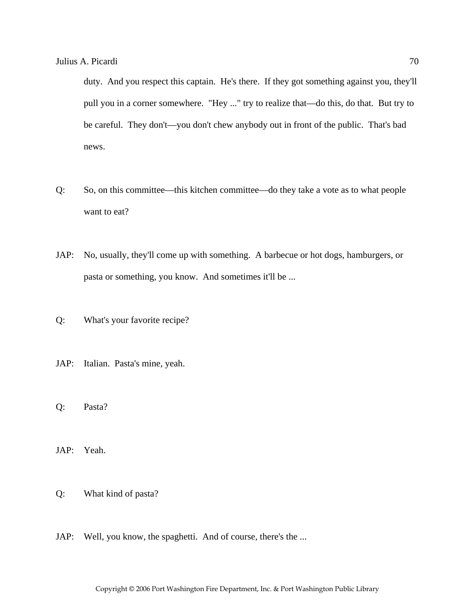duty. And you respect this captain. He's there. If they got something against you, they'll pull you in a corner somewhere. "Hey ..." try to realize that—do this, do that. But try to be careful. They don't—you don't chew anybody out in front of the public. That's bad news.

- Q: So, on this committee—this kitchen committee—do they take a vote as to what people want to eat?
- JAP: No, usually, they'll come up with something. A barbecue or hot dogs, hamburgers, or pasta or something, you know. And sometimes it'll be ...
- Q: What's your favorite recipe?
- JAP: Italian. Pasta's mine, yeah.
- Q: Pasta?
- JAP: Yeah.
- Q: What kind of pasta?
- JAP: Well, you know, the spaghetti. And of course, there's the ...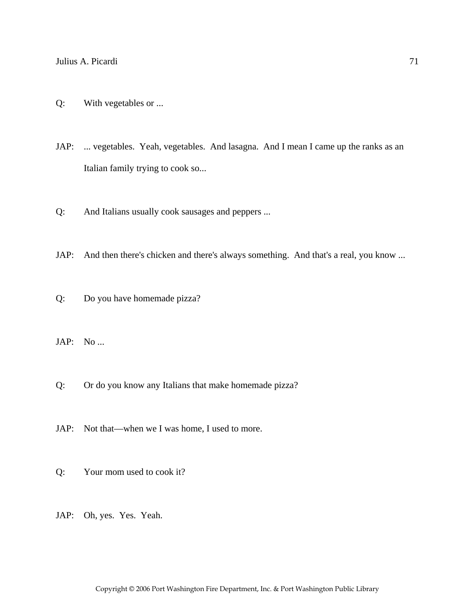- Q: With vegetables or ...
- JAP: ... vegetables. Yeah, vegetables. And lasagna. And I mean I came up the ranks as an Italian family trying to cook so...
- Q: And Italians usually cook sausages and peppers ...
- JAP: And then there's chicken and there's always something. And that's a real, you know ...
- Q: Do you have homemade pizza?
- JAP: No ...
- Q: Or do you know any Italians that make homemade pizza?
- JAP: Not that—when we I was home, I used to more.
- Q: Your mom used to cook it?
- JAP: Oh, yes. Yes. Yeah.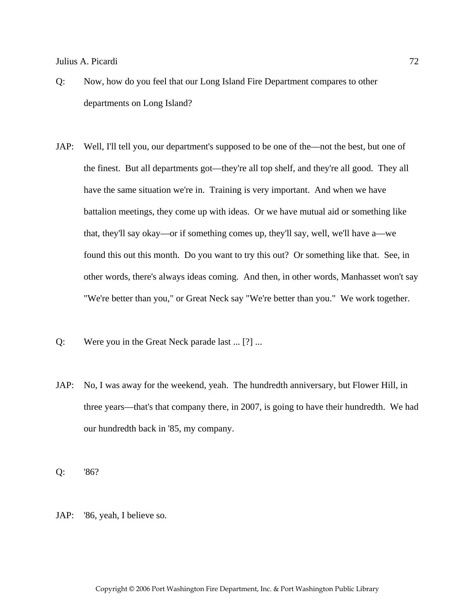- Q: Now, how do you feel that our Long Island Fire Department compares to other departments on Long Island?
- JAP: Well, I'll tell you, our department's supposed to be one of the—not the best, but one of the finest. But all departments got—they're all top shelf, and they're all good. They all have the same situation we're in. Training is very important. And when we have battalion meetings, they come up with ideas. Or we have mutual aid or something like that, they'll say okay—or if something comes up, they'll say, well, we'll have a—we found this out this month. Do you want to try this out? Or something like that. See, in other words, there's always ideas coming. And then, in other words, Manhasset won't say "We're better than you," or Great Neck say "We're better than you." We work together.
- Q: Were you in the Great Neck parade last ... [?] ...
- JAP: No, I was away for the weekend, yeah. The hundredth anniversary, but Flower Hill, in three years—that's that company there, in 2007, is going to have their hundredth. We had our hundredth back in '85, my company.

Q: '86?

JAP: '86, yeah, I believe so.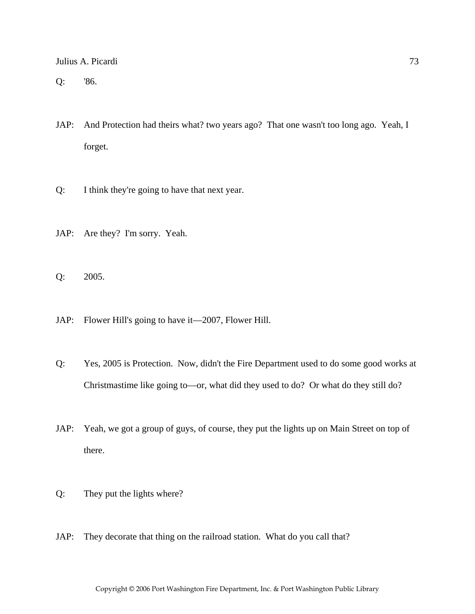Q: '86.

- JAP: And Protection had theirs what? two years ago? That one wasn't too long ago. Yeah, I forget.
- Q: I think they're going to have that next year.
- JAP: Are they? I'm sorry. Yeah.

Q: 2005.

- JAP: Flower Hill's going to have it—2007, Flower Hill.
- Q: Yes, 2005 is Protection. Now, didn't the Fire Department used to do some good works at Christmastime like going to—or, what did they used to do? Or what do they still do?
- JAP: Yeah, we got a group of guys, of course, they put the lights up on Main Street on top of there.
- Q: They put the lights where?
- JAP: They decorate that thing on the railroad station. What do you call that?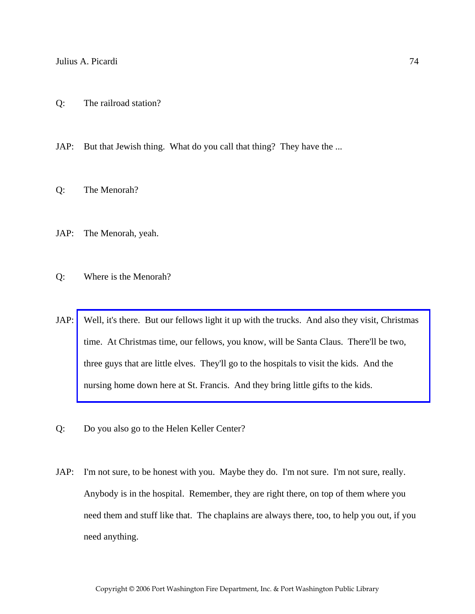JAP: But that Jewish thing. What do you call that thing? They have the ...

- Q: The Menorah?
- JAP: The Menorah, yeah.

Q: Where is the Menorah?

- JAP: [Well, it's there. But our fellows light it up with the trucks. And also they visit, Christmas](http://www.pwfdhistory.com/trans/picardij_trans/ahlco_members14_web.jpg)  time. At Christmas time, our fellows, you know, will be Santa Claus. There'll be two, three guys that are little elves. They'll go to the hospitals to visit the kids. And the nursing home down here at St. Francis. And they bring little gifts to the kids.
- Q: Do you also go to the Helen Keller Center?
- JAP: I'm not sure, to be honest with you. Maybe they do. I'm not sure. I'm not sure, really. Anybody is in the hospital. Remember, they are right there, on top of them where you need them and stuff like that. The chaplains are always there, too, to help you out, if you need anything.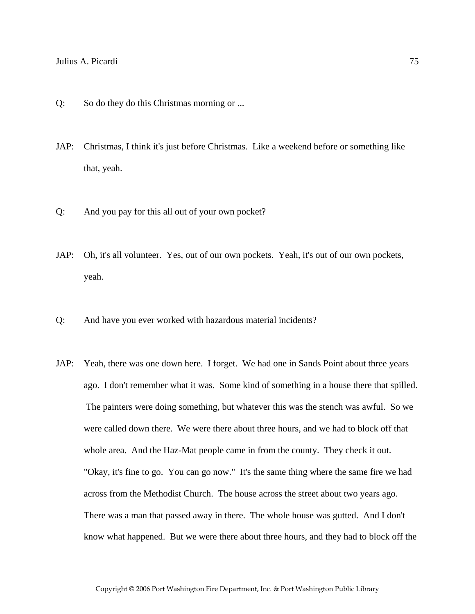- Q: So do they do this Christmas morning or ...
- JAP: Christmas, I think it's just before Christmas. Like a weekend before or something like that, yeah.
- Q: And you pay for this all out of your own pocket?
- JAP: Oh, it's all volunteer. Yes, out of our own pockets. Yeah, it's out of our own pockets, yeah.
- Q: And have you ever worked with hazardous material incidents?
- JAP: Yeah, there was one down here. I forget. We had one in Sands Point about three years ago. I don't remember what it was. Some kind of something in a house there that spilled. The painters were doing something, but whatever this was the stench was awful. So we were called down there. We were there about three hours, and we had to block off that whole area. And the Haz-Mat people came in from the county. They check it out. "Okay, it's fine to go. You can go now." It's the same thing where the same fire we had across from the Methodist Church. The house across the street about two years ago. There was a man that passed away in there. The whole house was gutted. And I don't know what happened. But we were there about three hours, and they had to block off the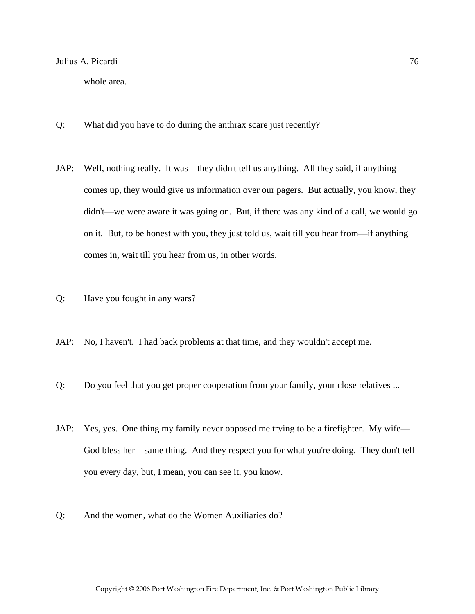whole area.

- Q: What did you have to do during the anthrax scare just recently?
- JAP: Well, nothing really. It was—they didn't tell us anything. All they said, if anything comes up, they would give us information over our pagers. But actually, you know, they didn't—we were aware it was going on. But, if there was any kind of a call, we would go on it. But, to be honest with you, they just told us, wait till you hear from—if anything comes in, wait till you hear from us, in other words.
- Q: Have you fought in any wars?
- JAP: No, I haven't. I had back problems at that time, and they wouldn't accept me.
- Q: Do you feel that you get proper cooperation from your family, your close relatives ...
- JAP: Yes, yes. One thing my family never opposed me trying to be a firefighter. My wife— God bless her—same thing. And they respect you for what you're doing. They don't tell you every day, but, I mean, you can see it, you know.
- Q: And the women, what do the Women Auxiliaries do?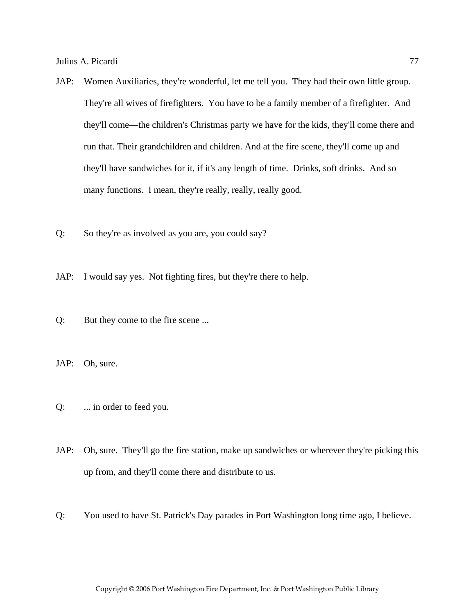- JAP: Women Auxiliaries, they're wonderful, let me tell you. They had their own little group. They're all wives of firefighters. You have to be a family member of a firefighter. And they'll come—the children's Christmas party we have for the kids, they'll come there and run that. Their grandchildren and children. And at the fire scene, they'll come up and they'll have sandwiches for it, if it's any length of time. Drinks, soft drinks. And so many functions. I mean, they're really, really, really good.
- Q: So they're as involved as you are, you could say?
- JAP: I would say yes. Not fighting fires, but they're there to help.
- Q: But they come to the fire scene ...
- JAP: Oh, sure.
- Q: ... in order to feed you.
- JAP: Oh, sure. They'll go the fire station, make up sandwiches or wherever they're picking this up from, and they'll come there and distribute to us.
- Q: You used to have St. Patrick's Day parades in Port Washington long time ago, I believe.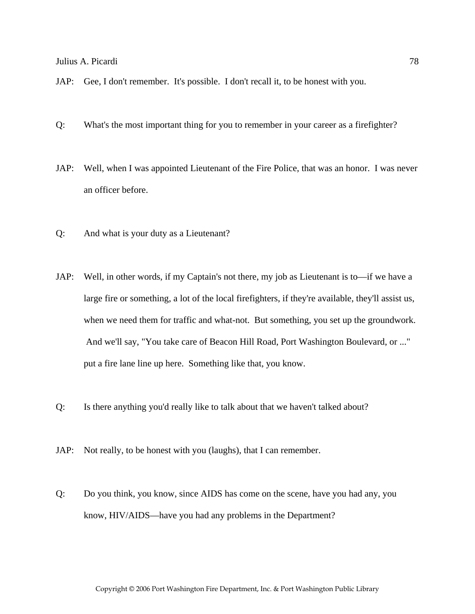- JAP: Gee, I don't remember. It's possible. I don't recall it, to be honest with you.
- Q: What's the most important thing for you to remember in your career as a firefighter?
- JAP: Well, when I was appointed Lieutenant of the Fire Police, that was an honor. I was never an officer before.
- Q: And what is your duty as a Lieutenant?
- JAP: Well, in other words, if my Captain's not there, my job as Lieutenant is to—if we have a large fire or something, a lot of the local firefighters, if they're available, they'll assist us, when we need them for traffic and what-not. But something, you set up the groundwork. And we'll say, "You take care of Beacon Hill Road, Port Washington Boulevard, or ..." put a fire lane line up here. Something like that, you know.
- Q: Is there anything you'd really like to talk about that we haven't talked about?
- JAP: Not really, to be honest with you (laughs), that I can remember.
- Q: Do you think, you know, since AIDS has come on the scene, have you had any, you know, HIV/AIDS—have you had any problems in the Department?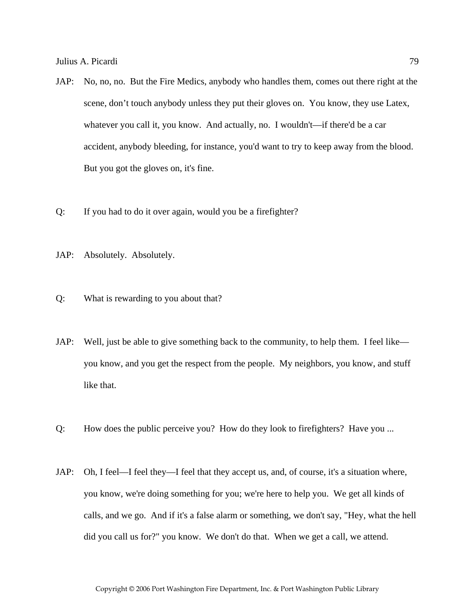- JAP: No, no, no. But the Fire Medics, anybody who handles them, comes out there right at the scene, don't touch anybody unless they put their gloves on. You know, they use Latex, whatever you call it, you know. And actually, no. I wouldn't—if there'd be a car accident, anybody bleeding, for instance, you'd want to try to keep away from the blood. But you got the gloves on, it's fine.
- Q: If you had to do it over again, would you be a firefighter?
- JAP: Absolutely. Absolutely.
- Q: What is rewarding to you about that?
- JAP: Well, just be able to give something back to the community, to help them. I feel like you know, and you get the respect from the people. My neighbors, you know, and stuff like that.
- Q: How does the public perceive you? How do they look to firefighters? Have you ...
- JAP: Oh, I feel—I feel they—I feel that they accept us, and, of course, it's a situation where, you know, we're doing something for you; we're here to help you. We get all kinds of calls, and we go. And if it's a false alarm or something, we don't say, "Hey, what the hell did you call us for?" you know. We don't do that. When we get a call, we attend.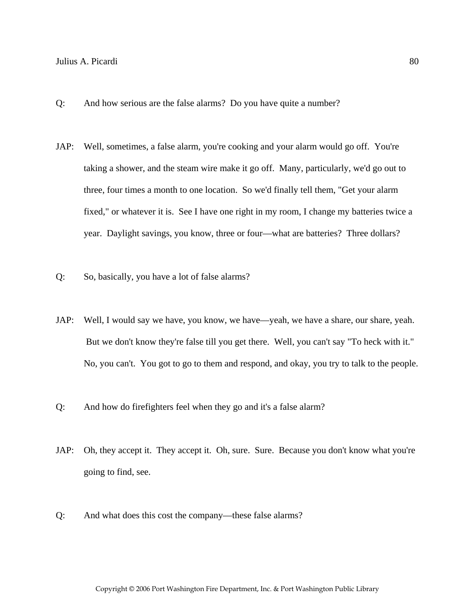- Q: And how serious are the false alarms? Do you have quite a number?
- JAP: Well, sometimes, a false alarm, you're cooking and your alarm would go off. You're taking a shower, and the steam wire make it go off. Many, particularly, we'd go out to three, four times a month to one location. So we'd finally tell them, "Get your alarm fixed," or whatever it is. See I have one right in my room, I change my batteries twice a year. Daylight savings, you know, three or four—what are batteries? Three dollars?
- Q: So, basically, you have a lot of false alarms?
- JAP: Well, I would say we have, you know, we have—yeah, we have a share, our share, yeah. But we don't know they're false till you get there. Well, you can't say "To heck with it." No, you can't. You got to go to them and respond, and okay, you try to talk to the people.
- Q: And how do firefighters feel when they go and it's a false alarm?
- JAP: Oh, they accept it. They accept it. Oh, sure. Sure. Because you don't know what you're going to find, see.
- Q: And what does this cost the company—these false alarms?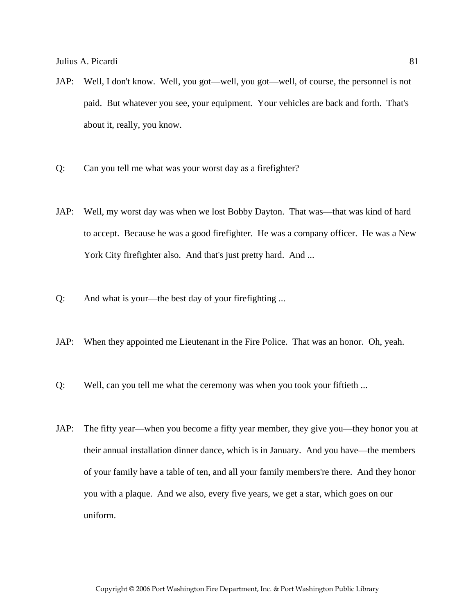- JAP: Well, I don't know. Well, you got—well, you got—well, of course, the personnel is not paid. But whatever you see, your equipment. Your vehicles are back and forth. That's about it, really, you know.
- Q: Can you tell me what was your worst day as a firefighter?
- JAP: Well, my worst day was when we lost Bobby Dayton. That was—that was kind of hard to accept. Because he was a good firefighter. He was a company officer. He was a New York City firefighter also. And that's just pretty hard. And ...
- Q: And what is your—the best day of your firefighting ...
- JAP: When they appointed me Lieutenant in the Fire Police. That was an honor. Oh, yeah.
- Q: Well, can you tell me what the ceremony was when you took your fiftieth ...
- JAP: The fifty year—when you become a fifty year member, they give you—they honor you at their annual installation dinner dance, which is in January. And you have—the members of your family have a table of ten, and all your family members're there. And they honor you with a plaque. And we also, every five years, we get a star, which goes on our uniform.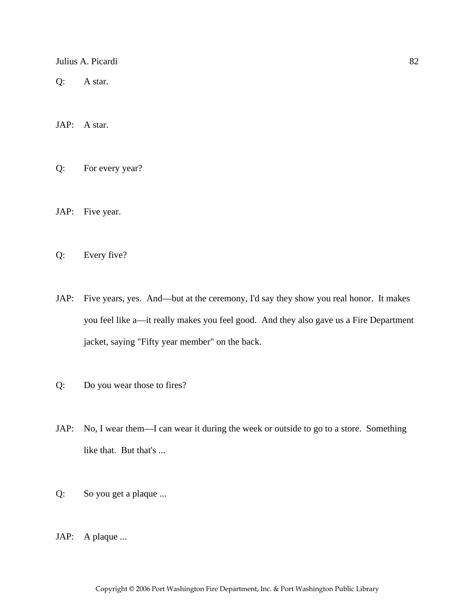Q: A star.

JAP: A star.

Q: For every year?

JAP: Five year.

Q: Every five?

- JAP: Five years, yes. And—but at the ceremony, I'd say they show you real honor. It makes you feel like a—it really makes you feel good. And they also gave us a Fire Department jacket, saying "Fifty year member" on the back.
- Q: Do you wear those to fires?
- JAP: No, I wear them—I can wear it during the week or outside to go to a store. Something like that. But that's ...
- Q: So you get a plaque ...
- JAP: A plaque ...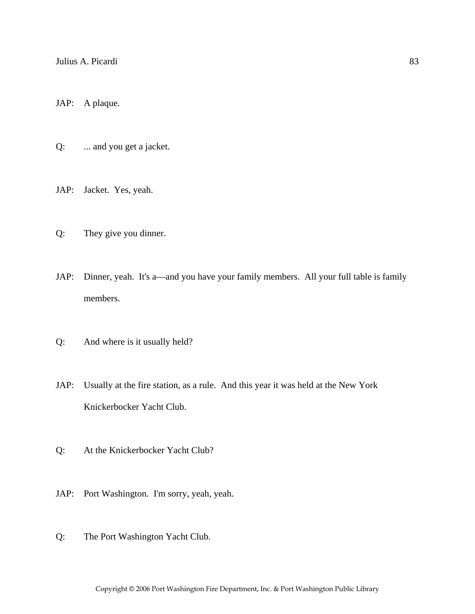JAP: A plaque.

Q: ... and you get a jacket.

JAP: Jacket. Yes, yeah.

- Q: They give you dinner.
- JAP: Dinner, yeah. It's a—and you have your family members. All your full table is family members.
- Q: And where is it usually held?
- JAP: Usually at the fire station, as a rule. And this year it was held at the New York Knickerbocker Yacht Club.
- Q: At the Knickerbocker Yacht Club?
- JAP: Port Washington. I'm sorry, yeah, yeah.
- Q: The Port Washington Yacht Club.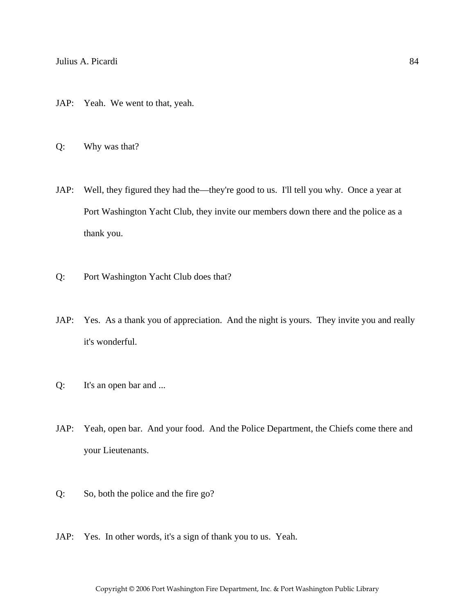- JAP: Yeah. We went to that, yeah.
- Q: Why was that?
- JAP: Well, they figured they had the—they're good to us. I'll tell you why. Once a year at Port Washington Yacht Club, they invite our members down there and the police as a thank you.
- Q: Port Washington Yacht Club does that?
- JAP: Yes. As a thank you of appreciation. And the night is yours. They invite you and really it's wonderful.
- Q: It's an open bar and ...
- JAP: Yeah, open bar. And your food. And the Police Department, the Chiefs come there and your Lieutenants.
- Q: So, both the police and the fire go?
- JAP: Yes. In other words, it's a sign of thank you to us. Yeah.